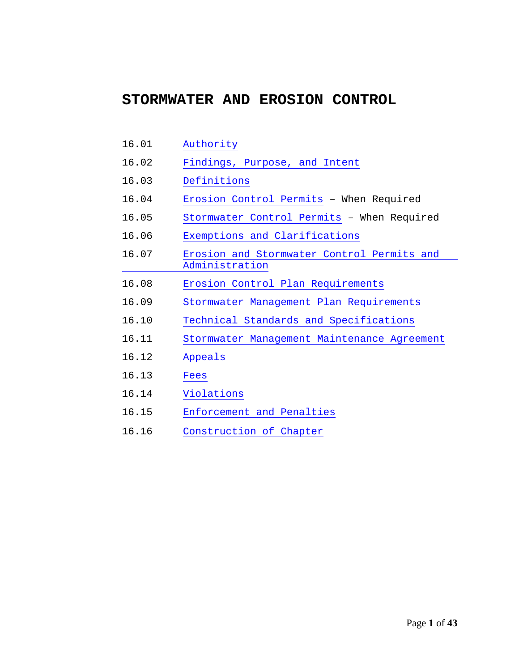## **STORMWATER AND EROSION CONTROL**

- 16.01 [Authority](#page-1-0)
- 16.02 [Findings, Purpose, and Intent](#page-1-1)
- 16.03 [Definitions](#page-2-0)
- 16.04 [Erosion Control Permits](#page-11-0) When Required
- 16.05 [Stormwater Control Permits](#page-11-1) When Required
- 16.06 Exemptions [and Clarifications](#page-12-0)
- 16.07 [Erosion and Stormwater Control Permits and](#page-15-0)  [Administration](#page-15-0)
- 16.08 [Erosion Control Plan Requirements](#page-23-0)
- 16.09 [Stormwater Management Plan Requirements](#page-25-0)
- 16.10 [Technical Standards and Specifications](#page-35-0)
- 16.11 [Stormwater Management Maintenance Agreement](#page-36-0)
- 16.12 [Appeals](#page-38-0)
- 16.13 [Fees](#page-39-0)
- 16.14 [Violations](#page-39-1)
- 16.15 [Enforcement and Penalties](#page-40-0)
- 16.16 [Construction of Chapter](#page-41-0)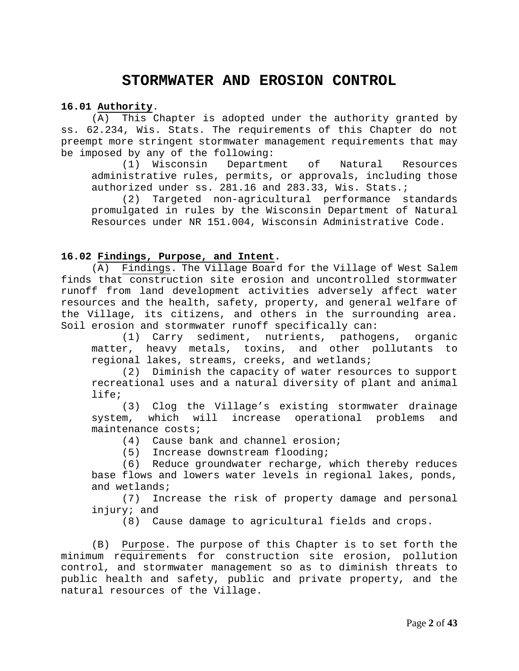## **STORMWATER AND EROSION CONTROL**

#### <span id="page-1-0"></span>**16.01 Authority**.

(A) This Chapter is adopted under the authority granted by ss. 62.234, Wis. Stats. The requirements of this Chapter do not preempt more stringent stormwater management requirements that may be imposed by any of the following:<br>(1) Wisconsin Departme

Department of Natural Resources administrative rules, permits, or approvals, including those authorized under ss. 281.16 and 283.33, Wis. Stats.;

(2) Targeted non-agricultural performance standards promulgated in rules by the Wisconsin Department of Natural Resources under NR 151.004, Wisconsin Administrative Code.

#### <span id="page-1-1"></span>**16.02 Findings, Purpose, and Intent.**

(A) Findings. The Village Board for the Village of West Salem finds that construction site erosion and uncontrolled stormwater runoff from land development activities adversely affect water resources and the health, safety, property, and general welfare of the Village, its citizens, and others in the surrounding area. Soil erosion and stormwater runoff specifically can:

(1) Carry sediment, nutrients, pathogens, organic matter, heavy metals, toxins, and other pollutants to regional lakes, streams, creeks, and wetlands;<br>(2) Diminish the capacity of water resour

Diminish the capacity of water resources to support recreational uses and a natural diversity of plant and animal life;

(3) Clog the Village's existing stormwater drainage system, which will increase operational problems and maintenance costs;

(4) Cause bank and channel erosion;<br>(5) Increase downstream flooding;

Increase downstream flooding;

(6) Reduce groundwater recharge, which thereby reduces base flows and lowers water levels in regional lakes, ponds, and wetlands;

(7) Increase the risk of property damage and personal injury; and

(8) Cause damage to agricultural fields and crops.

(B) Purpose. The purpose of this Chapter is to set forth the minimum requirements for construction site erosion, pollution control, and stormwater management so as to diminish threats to public health and safety, public and private property, and the natural resources of the Village.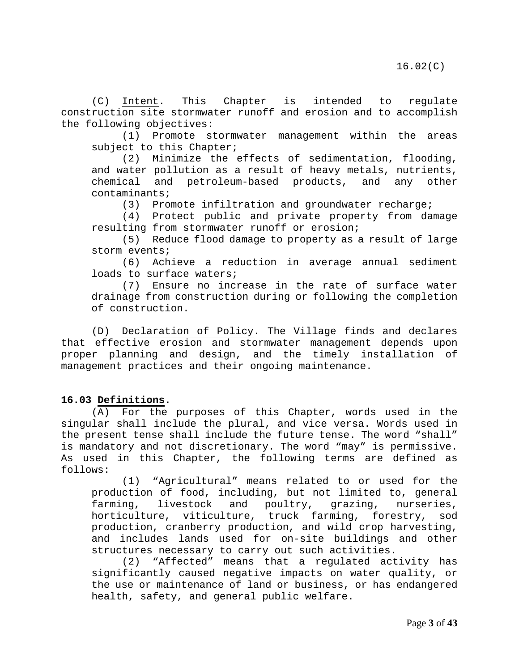(C) Intent. This Chapter is intended to regulate construction site stormwater runoff and erosion and to accomplish the following objectives:

(1) Promote stormwater management within the areas subject to this Chapter;

(2) Minimize the effects of sedimentation, flooding, and water pollution as a result of heavy metals, nutrients,<br>chemical and petroleum-based products, and any other petroleum-based products, and any other contaminants;<br>(3) Pro

Promote infiltration and groundwater recharge;

(4) Protect public and private property from damage resulting from stormwater runoff or erosion;

(5) Reduce flood damage to property as a result of large storm events;

(6) Achieve a reduction in average annual sediment loads to surface waters;

(7) Ensure no increase in the rate of surface water drainage from construction during or following the completion of construction.

(D) Declaration of Policy. The Village finds and declares that effective erosion and stormwater management depends upon proper planning and design, and the timely installation of management practices and their ongoing maintenance.

### <span id="page-2-0"></span>**16.03 Definitions.**

(A) For the purposes of this Chapter, words used in the singular shall include the plural, and vice versa. Words used in the present tense shall include the future tense. The word "shall" is mandatory and not discretionary. The word "may" is permissive. As used in this Chapter, the following terms are defined as follows:

(1) "Agricultural" means related to or used for the production of food, including, but not limited to, general<br>farming, livestock and poultry, grazing, nurseries, farming, livestock and poultry, grazing, nurseries, horticulture, viticulture, truck farming, forestry, sod production, cranberry production, and wild crop harvesting, and includes lands used for on-site buildings and other structures necessary to carry out such activities.

(2) "Affected" means that a regulated activity has significantly caused negative impacts on water quality, or the use or maintenance of land or business, or has endangered health, safety, and general public welfare.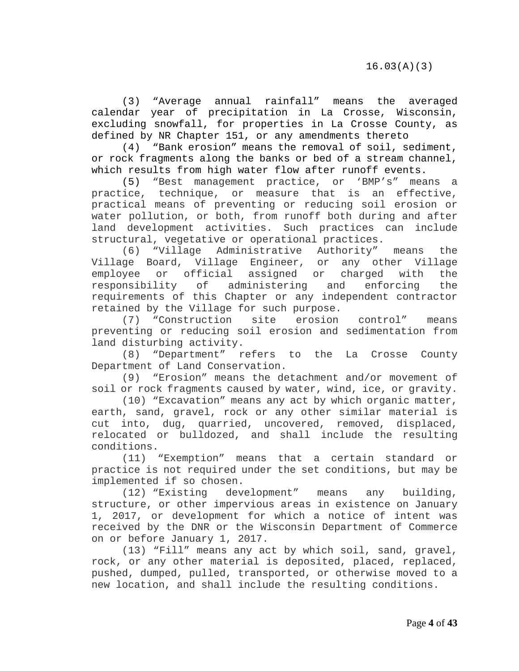(3) "Average annual rainfall" means the averaged calendar year of precipitation in La Crosse, Wisconsin, excluding snowfall, for properties in La Crosse County, as defined by NR Chapter 151, or any amendments thereto

(4) "Bank erosion" means the removal of soil, sediment, or rock fragments along the banks or bed of a stream channel, which results from high water flow after runoff events.

(5) "Best management practice, or 'BMP's" means a practice, technique, or measure that is an effective, practical means of preventing or reducing soil erosion or water pollution, or both, from runoff both during and after land development activities. Such practices can include structural, vegetative or operational practices.

(6) "Village Administrative Authority" means the Village Board, Village Engineer, or any other Village employee or official assigned or charged with<br>responsibility of administering and enforcing administering and enforcing the requirements of this Chapter or any independent contractor retained by the Village for such purpose.

(7) "Construction site erosion control" means preventing or reducing soil erosion and sedimentation from land disturbing activity.

(8) "Department" refers to the La Crosse County Department of Land Conservation.

(9) "Erosion" means the detachment and/or movement of soil or rock fragments caused by water, wind, ice, or gravity.

(10) "Excavation" means any act by which organic matter, earth, sand, gravel, rock or any other similar material is cut into, dug, quarried, uncovered, removed, displaced, relocated or bulldozed, and shall include the resulting conditions.

(11) "Exemption" means that a certain standard or practice is not required under the set conditions, but may be

implemented if so chosen.<br>(12) "Existing dev development" means any building, structure, or other impervious areas in existence on January 1, 2017, or development for which a notice of intent was received by the DNR or the Wisconsin Department of Commerce on or before January 1, 2017.

(13) "Fill" means any act by which soil, sand, gravel, rock, or any other material is deposited, placed, replaced, pushed, dumped, pulled, transported, or otherwise moved to a new location, and shall include the resulting conditions.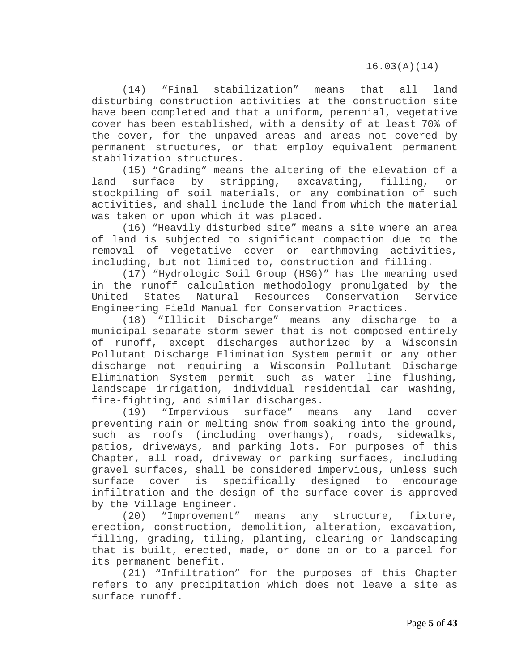(14) "Final stabilization" means that all land disturbing construction activities at the construction site have been completed and that a uniform, perennial, vegetative cover has been established, with a density of at least 70% of the cover, for the unpaved areas and areas not covered by permanent structures, or that employ equivalent permanent stabilization structures.

(15) "Grading" means the altering of the elevation of a<br>surface by stripping, excavating, filling, or land surface by stripping, excavating, filling, or stockpiling of soil materials, or any combination of such activities, and shall include the land from which the material was taken or upon which it was placed.

(16) "Heavily disturbed site" means a site where an area of land is subjected to significant compaction due to the removal of vegetative cover or earthmoving activities, including, but not limited to, construction and filling.

(17) "Hydrologic Soil Group (HSG)" has the meaning used in the runoff calculation methodology promulgated by the<br>United States Natural Resources Conservation Service United States Natural Resources Conservation Service Engineering Field Manual for Conservation Practices.

(18) "Illicit Discharge" means any discharge to a municipal separate storm sewer that is not composed entirely of runoff, except discharges authorized by a Wisconsin Pollutant Discharge Elimination System permit or any other discharge not requiring a Wisconsin Pollutant Discharge Elimination System permit such as water line flushing, landscape irrigation, individual residential car washing, fire-fighting, and similar discharges.

(19) "Impervious surface" means any land cover preventing rain or melting snow from soaking into the ground, such as roofs (including overhangs), roads, sidewalks, patios, driveways, and parking lots. For purposes of this Chapter, all road, driveway or parking surfaces, including gravel surfaces, shall be considered impervious, unless such surface cover is specifically designed to encourage infiltration and the design of the surface cover is approved by the Village Engineer.

(20) "Improvement" means any structure, fixture, erection, construction, demolition, alteration, excavation, filling, grading, tiling, planting, clearing or landscaping that is built, erected, made, or done on or to a parcel for its permanent benefit.

(21) "Infiltration" for the purposes of this Chapter refers to any precipitation which does not leave a site as surface runoff.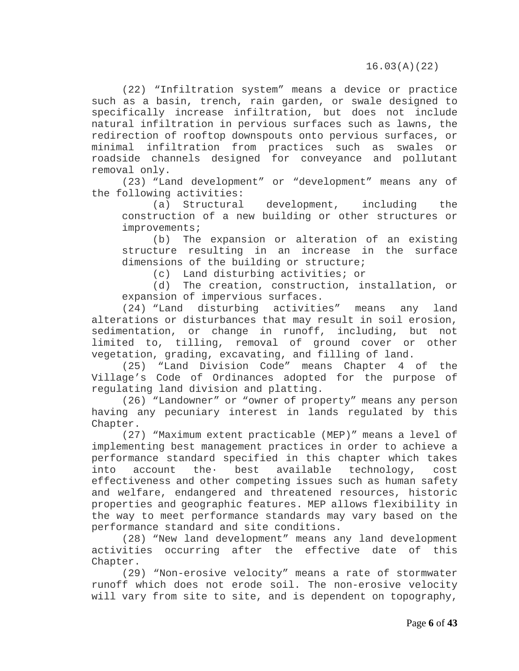(22) "Infiltration system" means a device or practice such as a basin, trench, rain garden, or swale designed to specifically increase infiltration, but does not include natural infiltration in pervious surfaces such as lawns, the redirection of rooftop downspouts onto pervious surfaces, or minimal infiltration from practices such as swales or roadside channels designed for conveyance and pollutant removal only.

(23) "Land development" or "development" means any of the following activities:<br>(a) Structural

development, including the construction of a new building or other structures or improvements;

(b) The expansion or alteration of an existing structure resulting in an increase in the surface dimensions of the building or structure;

(c) Land disturbing activities; or

(d) The creation, construction, installation, or expansion of impervious surfaces.

(24) "Land disturbing activities" means any land alterations or disturbances that may result in soil erosion, sedimentation, or change in runoff, including, but not limited to, tilling, removal of ground cover or other vegetation, grading, excavating, and filling of land.<br>(25) "Land Division Code" means Chapter 4

"Land Division Code" means Chapter 4 of the Village's Code of Ordinances adopted for the purpose of regulating land division and platting.

(26) "Landowner" or "owner of property" means any person having any pecuniary interest in lands regulated by this Chapter.

(27) "Maximum extent practicable (MEP)" means a level of implementing best management practices in order to achieve a performance standard specified in this chapter which takes<br>into account the best available technology, cost technology, effectiveness and other competing issues such as human safety and welfare, endangered and threatened resources, historic properties and geographic features. MEP allows flexibility in the way to meet performance standards may vary based on the performance standard and site conditions.

(28) "New land development" means any land development activities occurring after the effective date of this Chapter.

(29) "Non-erosive velocity" means a rate of stormwater runoff which does not erode soil. The non-erosive velocity will vary from site to site, and is dependent on topography,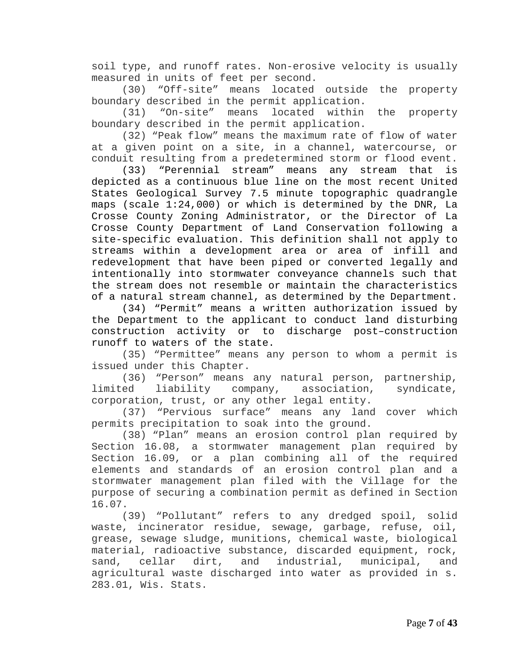soil type, and runoff rates. Non-erosive velocity is usually measured in units of feet per second.

(30) "Off-site" means located outside the property boundary described in the permit application.

(31) "On-site" means located within the property boundary described in the permit application.

(32) "Peak flow" means the maximum rate of flow of water at a given point on a site, in a channel, watercourse, or conduit resulting from a predetermined storm or flood event.

(33) "Perennial stream" means any stream that is depicted as a continuous blue line on the most recent United States Geological Survey 7.5 minute topographic quadrangle maps (scale 1:24,000) or which is determined by the DNR, La Crosse County Zoning Administrator, or the Director of La Crosse County Department of Land Conservation following a site-specific evaluation. This definition shall not apply to streams within a development area or area of infill and redevelopment that have been piped or converted legally and intentionally into stormwater conveyance channels such that the stream does not resemble or maintain the characteristics of a natural stream channel, as determined by the Department.

(34) "Permit" means a written authorization issued by the Department to the applicant to conduct land disturbing construction activity or to discharge post–construction runoff to waters of the state.

(35) "Permittee" means any person to whom a permit is issued under this Chapter.

(36) "Person" means any natural person, partnership,<br>ed liability company, association, syndicate, limited liability company, association, syndicate, corporation, trust, or any other legal entity.

(37) "Pervious surface" means any land cover which permits precipitation to soak into the ground.

(38) "Plan" means an erosion control plan required by Section 16.08, a stormwater management plan required by Section 16.09, or a plan combining all of the required elements and standards of an erosion control plan and a stormwater management plan filed with the Village for the purpose of securing a combination permit as defined in Section 16.07.

(39) "Pollutant" refers to any dredged spoil, solid waste, incinerator residue, sewage, garbage, refuse, oil, grease, sewage sludge, munitions, chemical waste, biological material, radioactive substance, discarded equipment, rock, sand, cellar dirt, and industrial, municipal, and agricultural waste discharged into water as provided in s. 283.01, Wis. Stats.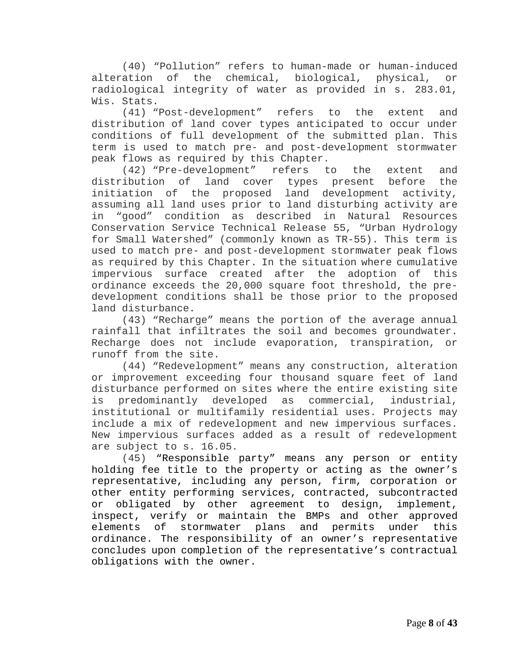(40) "Pollution" refers to human-made or human-induced alteration of the chemical, biological, physical, or radiological integrity of water as provided in s. 283.01, Wis. Stats.

(41) "Post-development" refers to the extent and distribution of land cover types anticipated to occur under conditions of full development of the submitted plan. This term is used to match pre- and post-development stormwater peak flows as required by this Chapter.<br>(42) "Pre-development" refers t

(42) "Pre-development" refers to the extent and<br>distribution of land cover types present before the land cover types initiation of the proposed land development activity, assuming all land uses prior to land disturbing activity are in "good" condition as described in Natural Resources Conservation Service Technical Release 55, "Urban Hydrology for Small Watershed" (commonly known as TR-55). This term is used to match pre- and post-development stormwater peak flows as required by this Chapter. In the situation where cumulative impervious surface created after the adoption of this ordinance exceeds the 20,000 square foot threshold, the predevelopment conditions shall be those prior to the proposed land disturbance.

(43) "Recharge" means the portion of the average annual rainfall that infiltrates the soil and becomes groundwater. Recharge does not include evaporation, transpiration, or runoff from the site.

(44) "Redevelopment" means any construction, alteration or improvement exceeding four thousand square feet of land disturbance performed on sites where the entire existing site<br>is predominantly developed as commercial. industrial. predominantly developed as commercial, industrial, institutional or multifamily residential uses. Projects may include a mix of redevelopment and new impervious surfaces. New impervious surfaces added as a result of redevelopment are subject to s. 16.05.

(45) "Responsible party" means any person or entity holding fee title to the property or acting as the owner's representative, including any person, firm, corporation or other entity performing services, contracted, subcontracted or obligated by other agreement to design, implement, inspect, verify or maintain the BMPs and other approved elements of stormwater plans and permits under this ordinance. The responsibility of an owner's representative concludes upon completion of the representative's contractual obligations with the owner.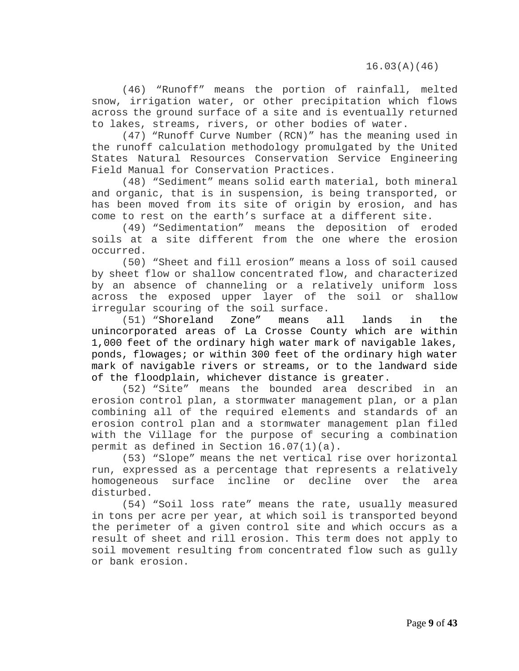(46) "Runoff" means the portion of rainfall, melted snow, irrigation water, or other precipitation which flows across the ground surface of a site and is eventually returned to lakes, streams, rivers, or other bodies of water.

(47) "Runoff Curve Number (RCN)" has the meaning used in the runoff calculation methodology promulgated by the United States Natural Resources Conservation Service Engineering Field Manual for Conservation Practices.

(48) "Sediment" means solid earth material, both mineral and organic, that is in suspension, is being transported, or has been moved from its site of origin by erosion, and has come to rest on the earth's surface at a different site.

(49) "Sedimentation" means the deposition of eroded soils at a site different from the one where the erosion occurred.

(50) "Sheet and fill erosion" means a loss of soil caused by sheet flow or shallow concentrated flow, and characterized by an absence of channeling or a relatively uniform loss across the exposed upper layer of the soil or shallow irregular scouring of the soil surface.

(51) "Shoreland Zone" means all lands in the unincorporated areas of La Crosse County which are within 1,000 feet of the ordinary high water mark of navigable lakes, ponds, flowages; or within 300 feet of the ordinary high water mark of navigable rivers or streams, or to the landward side of the floodplain, whichever distance is greater.

(52) "Site" means the bounded area described in an erosion control plan, a stormwater management plan, or a plan combining all of the required elements and standards of an erosion control plan and a stormwater management plan filed with the Village for the purpose of securing a combination permit as defined in Section 16.07(1)(a).

(53) "Slope" means the net vertical rise over horizontal run, expressed as a percentage that represents a relatively surface incline or decline over the area disturbed.

(54) "Soil loss rate" means the rate, usually measured in tons per acre per year, at which soil is transported beyond the perimeter of a given control site and which occurs as a result of sheet and rill erosion. This term does not apply to soil movement resulting from concentrated flow such as gully or bank erosion.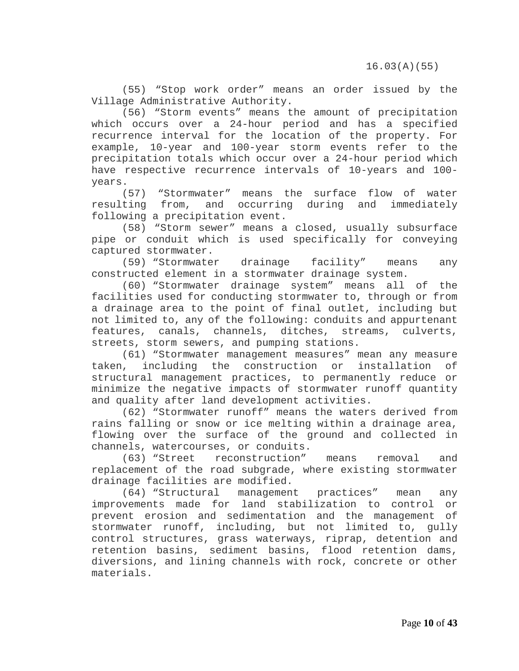(55) "Stop work order" means an order issued by the Village Administrative Authority.

(56) "Storm events" means the amount of precipitation which occurs over a 24-hour period and has a specified recurrence interval for the location of the property. For example, 10-year and 100-year storm events refer to the precipitation totals which occur over a 24-hour period which have respective recurrence intervals of 10-years and 100 years.

(57) "Stormwater" means the surface flow of water<br>resulting from, and occurring during and immediately and occurring during and immediately following a precipitation event.

(58) "Storm sewer" means a closed, usually subsurface pipe or conduit which is used specifically for conveying captured stormwater.

(59) "Stormwater drainage facility" means any constructed element in a stormwater drainage system.

(60) "Stormwater drainage system" means all of the facilities used for conducting stormwater to, through or from a drainage area to the point of final outlet, including but not limited to, any of the following: conduits and appurtenant features, canals, channels, ditches, streams, culverts, streets, storm sewers, and pumping stations.

(61) "Stormwater management measures" mean any measure taken, including the construction or installation of structural management practices, to permanently reduce or minimize the negative impacts of stormwater runoff quantity and quality after land development activities.

(62) "Stormwater runoff" means the waters derived from rains falling or snow or ice melting within a drainage area, flowing over the surface of the ground and collected in channels, watercourses, or conduits.<br>(63) "Street reconstruction"

reconstruction" means removal and replacement of the road subgrade, where existing stormwater drainage facilities are modified.

(64) "Structural management practices" mean any improvements made for land stabilization to control or prevent erosion and sedimentation and the management of stormwater runoff, including, but not limited to, gully control structures, grass waterways, riprap, detention and retention basins, sediment basins, flood retention dams, diversions, and lining channels with rock, concrete or other materials.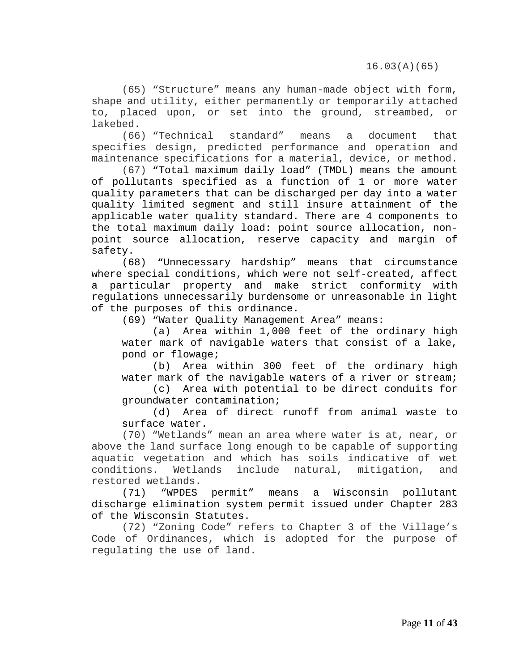16.03(A)(65)

(65) "Structure" means any human-made object with form, shape and utility, either permanently or temporarily attached to, placed upon, or set into the ground, streambed, or lakebed.

(66) "Technical standard" means a document that specifies design, predicted performance and operation and maintenance specifications for a material, device, or method.

(67) "Total maximum daily load" (TMDL) means the amount of pollutants specified as a function of 1 or more water quality parameters that can be discharged per day into a water quality limited segment and still insure attainment of the applicable water quality standard. There are 4 components to the total maximum daily load: point source allocation, nonpoint source allocation, reserve capacity and margin of safety.

(68) "Unnecessary hardship" means that circumstance where special conditions, which were not self-created, affect a particular property and make strict conformity with regulations unnecessarily burdensome or unreasonable in light of the purposes of this ordinance.

(69) "Water Quality Management Area" means:

(a) Area within 1,000 feet of the ordinary high water mark of navigable waters that consist of a lake, pond or flowage;

(b) Area within 300 feet of the ordinary high water mark of the navigable waters of a river or stream;

(c) Area with potential to be direct conduits for groundwater contamination;

(d) Area of direct runoff from animal waste to surface water.

(70) "Wetlands" mean an area where water is at, near, or above the land surface long enough to be capable of supporting aquatic vegetation and which has soils indicative of wet<br>conditions. Wetlands include natural, mitigation, and include natural, restored wetlands.<br>(71) "WPDES

(71) "WPDES permit" means a Wisconsin pollutant discharge elimination system permit issued under Chapter 283 of the Wisconsin Statutes.

(72) "Zoning Code" refers to Chapter 3 of the Village's Code of Ordinances, which is adopted for the purpose of regulating the use of land.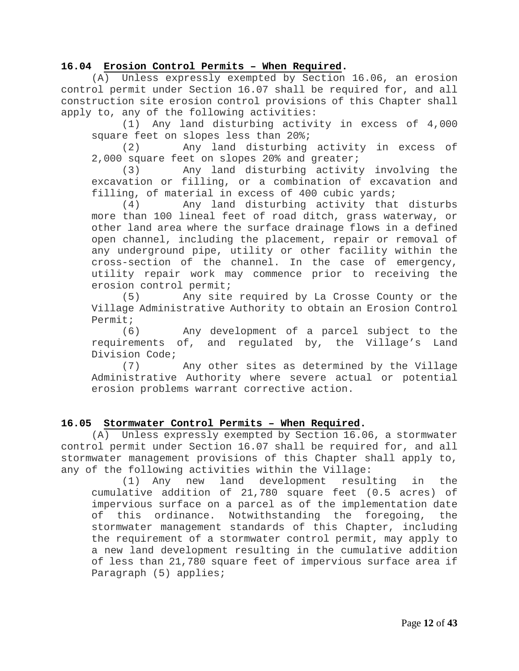#### <span id="page-11-0"></span>**16.04 Erosion Control Permits – When Required.**

(A) Unless expressly exempted by Section 16.06, an erosion control permit under Section 16.07 shall be required for, and all construction site erosion control provisions of this Chapter shall apply to, any of the following activities:

(1) Any land disturbing activity in excess of 4,000 square feet on slopes less than 20%;

(2) Any land disturbing activity in excess of 2,000 square feet on slopes 20% and greater;

(3) Any land disturbing activity involving the excavation or filling, or a combination of excavation and filling, of material in excess of 400 cubic yards;<br>(4) Any land disturbing activity that

Any land disturbing activity that disturbs more than 100 lineal feet of road ditch, grass waterway, or other land area where the surface drainage flows in a defined open channel, including the placement, repair or removal of any underground pipe, utility or other facility within the cross-section of the channel. In the case of emergency, utility repair work may commence prior to receiving the erosion control permit;

(5) Any site required by La Crosse County or the Village Administrative Authority to obtain an Erosion Control Permit;

(6) Any development of a parcel subject to the requirements of, and regulated by, the Village's Land Division Code;<br>(7)

Any other sites as determined by the Village Administrative Authority where severe actual or potential erosion problems warrant corrective action.

#### <span id="page-11-1"></span>**16.05 Stormwater Control Permits – When Required.**

(A) Unless expressly exempted by Section 16.06, a stormwater control permit under Section 16.07 shall be required for, and all stormwater management provisions of this Chapter shall apply to, any of the following activities within the Village:

(1) Any new land development resulting in the cumulative addition of 21,780 square feet (0.5 acres) of impervious surface on a parcel as of the implementation date of this ordinance. Notwithstanding the foregoing, the stormwater management standards of this Chapter, including the requirement of a stormwater control permit, may apply to a new land development resulting in the cumulative addition of less than 21,780 square feet of impervious surface area if Paragraph (5) applies;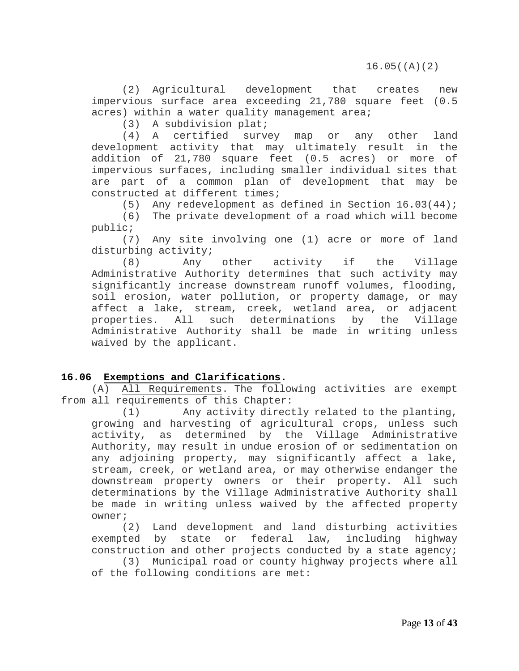(2) Agricultural development that creates new impervious surface area exceeding 21,780 square feet (0.5 acres) within a water quality management area;

(3) A subdivision plat;

(4) A certified survey map or any other land development activity that may ultimately result in the addition of 21,780 square feet (0.5 acres) or more of impervious surfaces, including smaller individual sites that are part of a common plan of development that may be constructed at different times;<br>(5) Any redevelopment as

(5) Any redevelopment as defined in Section  $16.03(44)$ ;<br>(6) The private development of a road which will become

The private development of a road which will become public;

(7) Any site involving one (1) acre or more of land disturbing activity;<br>(8) Any

(8) Any other activity if the Village Administrative Authority determines that such activity may significantly increase downstream runoff volumes, flooding, soil erosion, water pollution, or property damage, or may affect a lake, stream, creek, wetland area, or adjacent properties. All such determinations by the Village Administrative Authority shall be made in writing unless waived by the applicant.

### **16.06 Exemptions and Clarifications.**

(A) All Requirements. The following activities are exempt from all requirements of this Chapter:

<span id="page-12-0"></span>(1) Any activity directly related to the planting, growing and harvesting of agricultural crops, unless such activity, as determined by the Village Administrative Authority, may result in undue erosion of or sedimentation on any adjoining property, may significantly affect a lake, stream, creek, or wetland area, or may otherwise endanger the downstream property owners or their property. All such determinations by the Village Administrative Authority shall be made in writing unless waived by the affected property

 $over$   $(2)$ Land development and land disturbing activities exempted by state or federal law, including highway construction and other projects conducted by a state agency;

(3) Municipal road or county highway projects where all of the following conditions are met: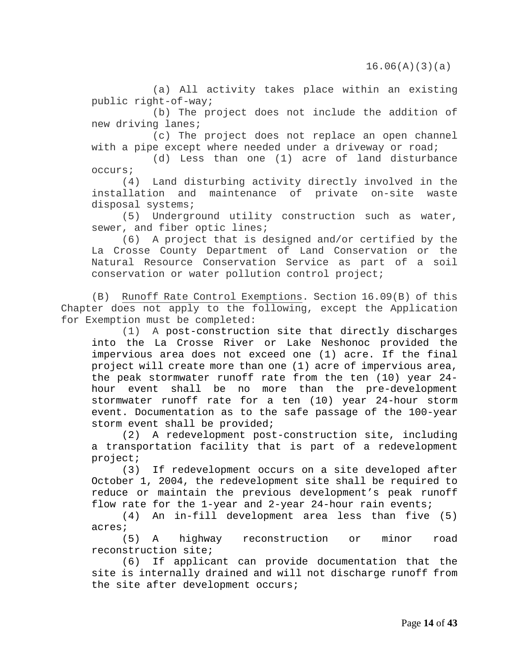(a) All activity takes place within an existing public right-of-way;

(b) The project does not include the addition of new driving lanes;

(c) The project does not replace an open channel with a pipe except where needed under a driveway or road;

(d) Less than one (1) acre of land disturbance occurs;

(4) Land disturbing activity directly involved in the installation and maintenance of private on-site waste disposal systems;

(5) Underground utility construction such as water, sewer, and fiber optic lines;

(6) A project that is designed and/or certified by the La Crosse County Department of Land Conservation or the Natural Resource Conservation Service as part of a soil conservation or water pollution control project;

(B) Runoff Rate Control Exemptions. Section 16.09(B) of this Chapter does not apply to the following, except the Application for Exemption must be completed:

(1) A post-construction site that directly discharges into the La Crosse River or Lake Neshonoc provided the impervious area does not exceed one (1) acre. If the final project will create more than one (1) acre of impervious area, the peak stormwater runoff rate from the ten (10) year 24 hour event shall be no more than the pre-development stormwater runoff rate for a ten (10) year 24-hour storm event. Documentation as to the safe passage of the 100-year storm event shall be provided;

(2) A redevelopment post-construction site, including a transportation facility that is part of a redevelopment project;

(3) If redevelopment occurs on a site developed after October 1, 2004, the redevelopment site shall be required to reduce or maintain the previous development's peak runoff flow rate for the 1-year and 2-year 24-hour rain events;

 (4) An in-fill development area less than five (5) acres;

 (5) A highway reconstruction or minor road reconstruction site;

(6) If applicant can provide documentation that the site is internally drained and will not discharge runoff from the site after development occurs;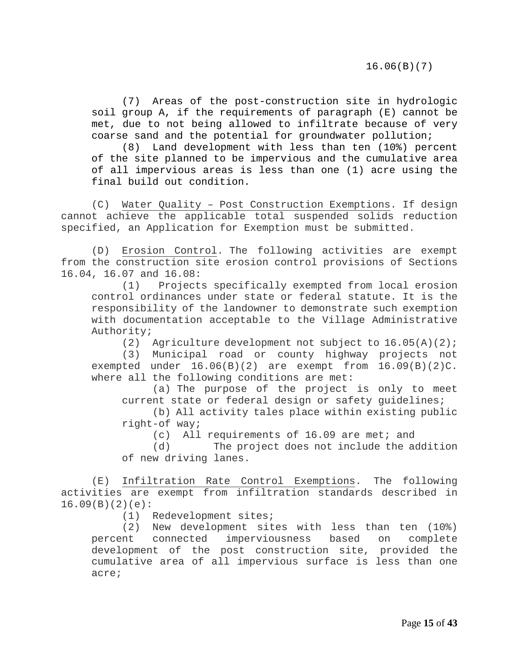16.06(B)(7)

(7) Areas of the post-construction site in hydrologic soil group A, if the requirements of paragraph (E) cannot be met, due to not being allowed to infiltrate because of very coarse sand and the potential for groundwater pollution;

(8) Land development with less than ten (10%) percent of the site planned to be impervious and the cumulative area of all impervious areas is less than one (1) acre using the final build out condition.

(C) Water Quality – Post Construction Exemptions. If design cannot achieve the applicable total suspended solids reduction specified, an Application for Exemption must be submitted.

(D) Erosion Control. The following activities are exempt from the construction site erosion control provisions of Sections 16.04, 16.07 and 16.08:<br>(1) Project

Projects specifically exempted from local erosion control ordinances under state or federal statute. It is the responsibility of the landowner to demonstrate such exemption with documentation acceptable to the Village Administrative Authority;

(2) Agriculture development not subject to  $16.05(A)(2)$ ;

(3) Municipal road or county highway projects not exempted under  $16.06(B)(2)$  are exempt from  $16.09(B)(2)C$ . where all the following conditions are met:

(a) The purpose of the project is only to meet current state or federal design or safety guidelines;

(b) All activity tales place within existing public right-of way;

(c) All requirements of 16.09 are met; and<br>(d) The project does not include the ad

The project does not include the addition of new driving lanes.

(E) Infiltration Rate Control Exemptions. The following activities are exempt from infiltration standards described in 16.09(B)(2)(e):

(1) Redevelopment sites;

(2) New development sites with less than ten (10%) percent connected imperviousness based on complete development of the post construction site, provided the cumulative area of all impervious surface is less than one acre;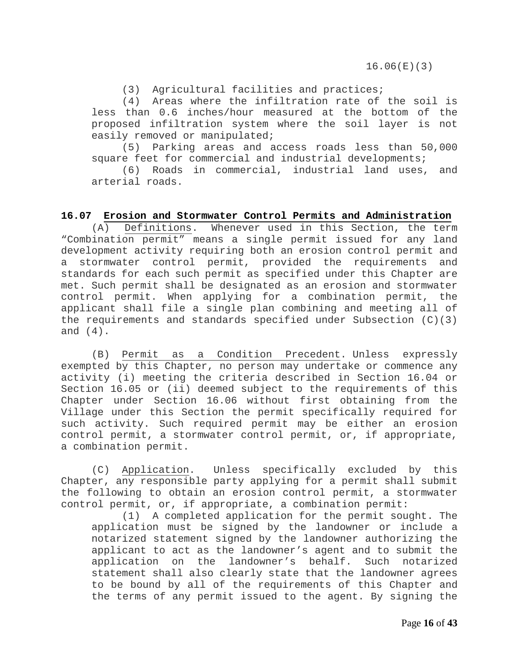(3) Agricultural facilities and practices;

(4) Areas where the infiltration rate of the soil is less than 0.6 inches/hour measured at the bottom of the proposed infiltration system where the soil layer is not easily removed or manipulated;

(5) Parking areas and access roads less than 50,000 square feet for commercial and industrial developments;

<span id="page-15-0"></span>(6) Roads in commercial, industrial land uses, and arterial roads.

#### **16.07 Erosion and Stormwater Control Permits and Administration**

(A) Definitions. Whenever used in this Section, the term "Combination permit" means a single permit issued for any land development activity requiring both an erosion control permit and a stormwater control permit, provided the requirements and standards for each such permit as specified under this Chapter are met. Such permit shall be designated as an erosion and stormwater control permit. When applying for a combination permit, the applicant shall file a single plan combining and meeting all of the requirements and standards specified under Subsection  $(C)(3)$ and (4).

(B) Permit as a Condition Precedent. Unless expressly exempted by this Chapter, no person may undertake or commence any activity (i) meeting the criteria described in Section 16.04 or Section 16.05 or (ii) deemed subject to the requirements of this Chapter under Section 16.06 without first obtaining from the Village under this Section the permit specifically required for such activity. Such required permit may be either an erosion control permit, a stormwater control permit, or, if appropriate, a combination permit.

(C) Application. Unless specifically excluded by this Chapter, any responsible party applying for a permit shall submit the following to obtain an erosion control permit, a stormwater control permit, or, if appropriate, a combination permit:

(1) A completed application for the permit sought. The application must be signed by the landowner or include a notarized statement signed by the landowner authorizing the applicant to act as the landowner's agent and to submit the application on the landowner's behalf. Such notarized statement shall also clearly state that the landowner agrees to be bound by all of the requirements of this Chapter and the terms of any permit issued to the agent. By signing the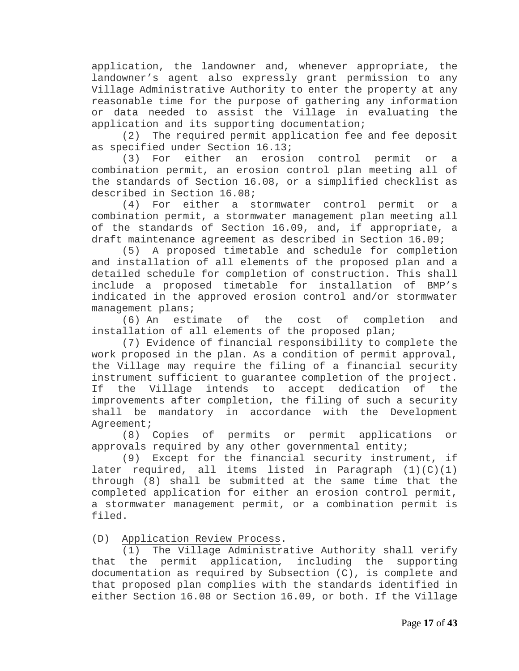application, the landowner and, whenever appropriate, the landowner's agent also expressly grant permission to any Village Administrative Authority to enter the property at any reasonable time for the purpose of gathering any information or data needed to assist the Village in evaluating the application and its supporting documentation;

(2) The required permit application fee and fee deposit as specified under Section 16.13;<br>(3) For either an erosi

either an erosion control permit or a combination permit, an erosion control plan meeting all of the standards of Section 16.08, or a simplified checklist as described in Section 16.08;<br>(4) For either a s

For either a stormwater control permit or a combination permit, a stormwater management plan meeting all of the standards of Section 16.09, and, if appropriate, a draft maintenance agreement as described in Section 16.09;

(5) A proposed timetable and schedule for completion and installation of all elements of the proposed plan and a detailed schedule for completion of construction. This shall<br>include a proposed timetable for installation of BMP's include a proposed timetable for installation of indicated in the approved erosion control and/or stormwater management plans;

(6) An estimate of the cost of completion and installation of all elements of the proposed plan;

(7) Evidence of financial responsibility to complete the work proposed in the plan. As a condition of permit approval, the Village may require the filing of a financial security instrument sufficient to guarantee completion of the project. If the Village intends to accept dedication of the improvements after completion, the filing of such a security shall be mandatory in accordance with the Development Agreement;

(8) Copies of permits or permit applications or approvals required by any other governmental entity;

(9) Except for the financial security instrument, if later required, all items listed in Paragraph (1)(C)(1) through (8) shall be submitted at the same time that the completed application for either an erosion control permit, a stormwater management permit, or a combination permit is filed.

(D) Application Review Process.

(1) The Village Administrative Authority shall verify that the permit application, including the supporting documentation as required by Subsection (C), is complete and that proposed plan complies with the standards identified in either Section 16.08 or Section 16.09, or both. If the Village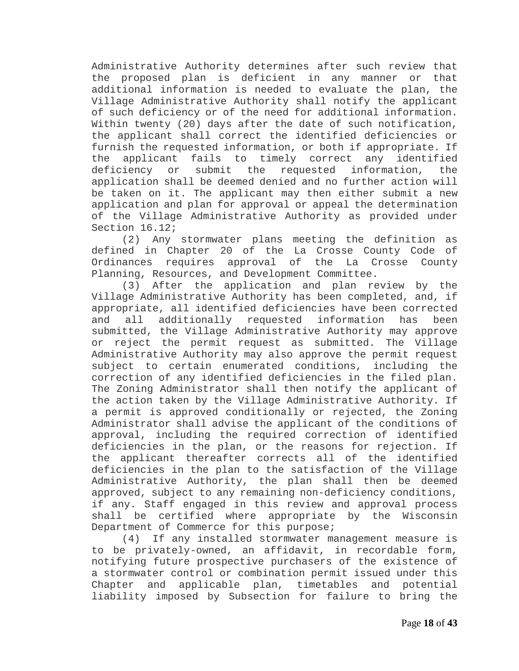Administrative Authority determines after such review that the proposed plan is deficient in any manner or that additional information is needed to evaluate the plan, the Village Administrative Authority shall notify the applicant of such deficiency or of the need for additional information. Within twenty (20) days after the date of such notification, the applicant shall correct the identified deficiencies or furnish the requested information, or both if appropriate. If the applicant fails to timely correct any identified<br>deficiency or submit the requested information, the or submit the requested information, the application shall be deemed denied and no further action will be taken on it. The applicant may then either submit a new application and plan for approval or appeal the determination of the Village Administrative Authority as provided under Section 16.12;

(2) Any stormwater plans meeting the definition as defined in Chapter 20 of the La Crosse County Code of Ordinances requires approval of the La Crosse County Planning, Resources, and Development Committee.

(3) After the application and plan review by the Village Administrative Authority has been completed, and, if appropriate, all identified deficiencies have been corrected and all additionally requested information has been submitted, the Village Administrative Authority may approve or reject the permit request as submitted. The Village Administrative Authority may also approve the permit request subject to certain enumerated conditions, including the correction of any identified deficiencies in the filed plan. The Zoning Administrator shall then notify the applicant of the action taken by the Village Administrative Authority. If a permit is approved conditionally or rejected, the Zoning Administrator shall advise the applicant of the conditions of approval, including the required correction of identified deficiencies in the plan, or the reasons for rejection. If the applicant thereafter corrects all of the identified deficiencies in the plan to the satisfaction of the Village Administrative Authority, the plan shall then be deemed approved, subject to any remaining non-deficiency conditions, if any. Staff engaged in this review and approval process shall be certified where appropriate by the Wisconsin Department of Commerce for this purpose;

(4) If any installed stormwater management measure is to be privately-owned, an affidavit, in recordable form, notifying future prospective purchasers of the existence of a stormwater control or combination permit issued under this Chapter and applicable plan, timetables and potential liability imposed by Subsection for failure to bring the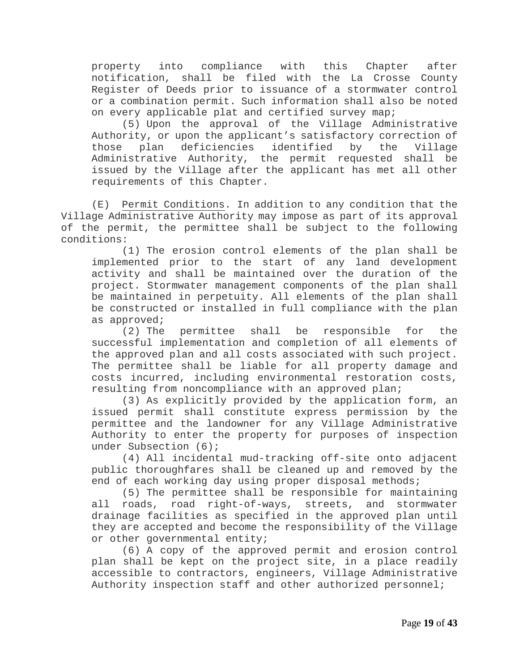property into compliance with this Chapter after notification, shall be filed with the La Crosse County Register of Deeds prior to issuance of a stormwater control or a combination permit. Such information shall also be noted on every applicable plat and certified survey map;

(5) Upon the approval of the Village Administrative Authority, or upon the applicant's satisfactory correction of<br>those plan deficiencies identified by the Village those plan deficiencies identified by the Village<br>Administrative Authority, the permit requested shall be Administrative Authority, the permit requested shall be issued by the Village after the applicant has met all other requirements of this Chapter.

(E) Permit Conditions. In addition to any condition that the Village Administrative Authority may impose as part of its approval of the permit, the permittee shall be subject to the following conditions:

(1) The erosion control elements of the plan shall be implemented prior to the start of any land development activity and shall be maintained over the duration of the project. Stormwater management components of the plan shall be maintained in perpetuity. All elements of the plan shall be constructed or installed in full compliance with the plan as approved;

(2) The permittee shall be responsible for the successful implementation and completion of all elements of the approved plan and all costs associated with such project. The permittee shall be liable for all property damage and costs incurred, including environmental restoration costs, resulting from noncompliance with an approved plan;

(3) As explicitly provided by the application form, an issued permit shall constitute express permission by the permittee and the landowner for any Village Administrative Authority to enter the property for purposes of inspection under Subsection (6);

(4) All incidental mud-tracking off-site onto adjacent public thoroughfares shall be cleaned up and removed by the end of each working day using proper disposal methods;

(5) The permittee shall be responsible for maintaining all roads, road right-of-ways, streets, and stormwater drainage facilities as specified in the approved plan until they are accepted and become the responsibility of the Village or other governmental entity;

(6) A copy of the approved permit and erosion control plan shall be kept on the project site, in a place readily accessible to contractors, engineers, Village Administrative Authority inspection staff and other authorized personnel;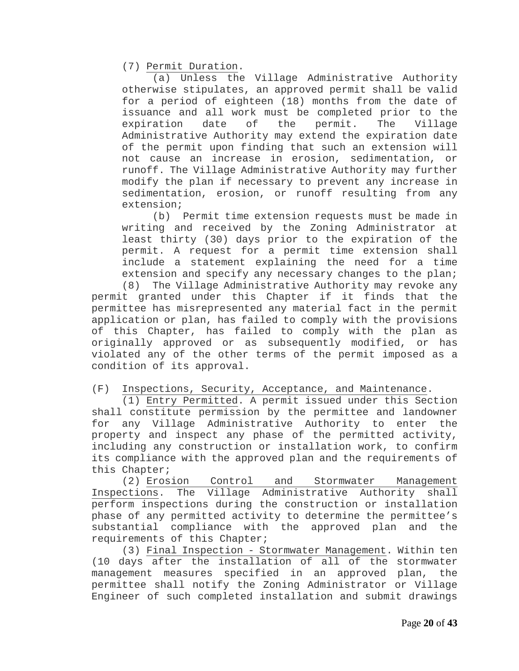(7) Permit Duration.

(a) Unless the Village Administrative Authority otherwise stipulates, an approved permit shall be valid for a period of eighteen (18) months from the date of issuance and all work must be completed prior to the<br>expiration date of the permit. The Village expiration date of the permit. The Village Administrative Authority may extend the expiration date of the permit upon finding that such an extension will not cause an increase in erosion, sedimentation, or runoff. The Village Administrative Authority may further modify the plan if necessary to prevent any increase in sedimentation, erosion, or runoff resulting from any extension;

(b) Permit time extension requests must be made in writing and received by the Zoning Administrator at least thirty (30) days prior to the expiration of the permit. A request for a permit time extension shall include a statement explaining the need for a time extension and specify any necessary changes to the plan;

(8) The Village Administrative Authority may revoke any permit granted under this Chapter if it finds that the permittee has misrepresented any material fact in the permit application or plan, has failed to comply with the provisions of this Chapter, has failed to comply with the plan as originally approved or as subsequently modified, or has violated any of the other terms of the permit imposed as a condition of its approval.

(F) Inspections, Security, Acceptance, and Maintenance.

(1) Entry Permitted. A permit issued under this Section shall constitute permission by the permittee and landowner for any Village Administrative Authority to enter the property and inspect any phase of the permitted activity, including any construction or installation work, to confirm its compliance with the approved plan and the requirements of this Chapter;

(2) Erosion Control and Stormwater Management Inspections. The Village Administrative Authority shall perform inspections during the construction or installation phase of any permitted activity to determine the permittee's substantial compliance with the approved plan and the requirements of this Chapter;

(3) Final Inspection - Stormwater Management. Within ten (10 days after the installation of all of the stormwater management measures specified in an approved plan, the permittee shall notify the Zoning Administrator or Village Engineer of such completed installation and submit drawings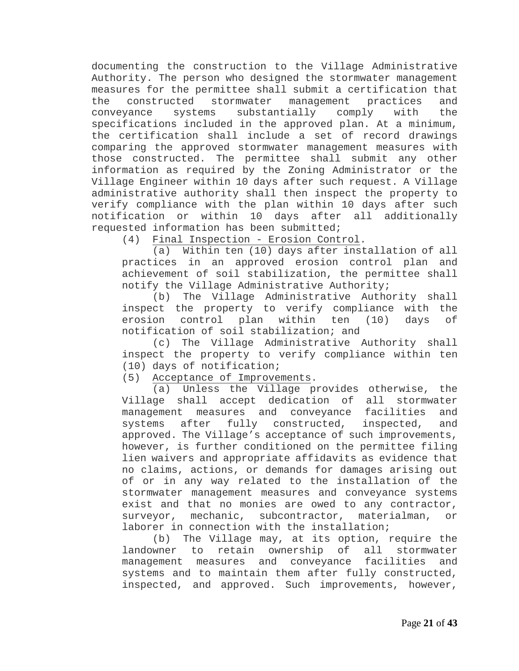documenting the construction to the Village Administrative Authority. The person who designed the stormwater management measures for the permittee shall submit a certification that<br>the constructed stormwater management practices and the constructed stormwater management practices and<br>conveyance systems substantially comply with the substantially specifications included in the approved plan. At a minimum, the certification shall include a set of record drawings comparing the approved stormwater management measures with those constructed. The permittee shall submit any other information as required by the Zoning Administrator or the Village Engineer within 10 days after such request. A Village administrative authority shall then inspect the property to verify compliance with the plan within 10 days after such notification or within 10 days after all additionally requested information has been submitted;

(4) Final Inspection - Erosion Control.

(a) Within ten (10) days after installation of all practices in an approved erosion control plan and achievement of soil stabilization, the permittee shall notify the Village Administrative Authority;

(b) The Village Administrative Authority shall inspect the property to verify compliance with the erosion control plan within ten (10) days of notification of soil stabilization; and

(c) The Village Administrative Authority shall inspect the property to verify compliance within ten (10) days of notification;

(5) Acceptance of Improvements.

(a) Unless the Village provides otherwise, the Village shall accept dedication of all stormwater management measures and conveyance facilities and systems after fully constructed, inspected, and approved. The Village's acceptance of such improvements, however, is further conditioned on the permittee filing lien waivers and appropriate affidavits as evidence that no claims, actions, or demands for damages arising out of or in any way related to the installation of the stormwater management measures and conveyance systems exist and that no monies are owed to any contractor, surveyor, mechanic, subcontractor, materialman, or laborer in connection with the installation;

(b) The Village may, at its option, require the landowner to retain ownership of all stormwater management measures and conveyance facilities and systems and to maintain them after fully constructed, inspected, and approved. Such improvements, however,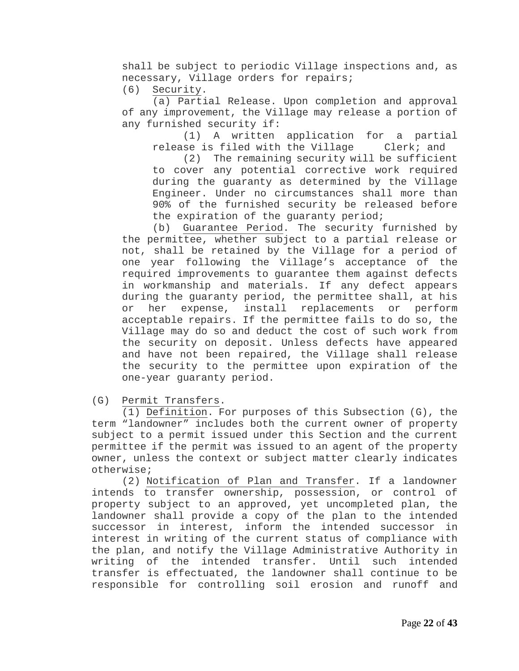shall be subject to periodic Village inspections and, as necessary, Village orders for repairs;<br>(6) Security.

Security.

(a) Partial Release. Upon completion and approval of any improvement, the Village may release a portion of any furnished security if:

(1) A written application for a partial release is filed with the Village Clerk; and

(2) The remaining security will be sufficient to cover any potential corrective work required during the guaranty as determined by the Village Engineer. Under no circumstances shall more than 90% of the furnished security be released before the expiration of the guaranty period;

(b) Guarantee Period. The security furnished by the permittee, whether subject to a partial release or not, shall be retained by the Village for a period of one year following the Village's acceptance of the required improvements to guarantee them against defects in workmanship and materials. If any defect appears during the guaranty period, the permittee shall, at his<br>or her expense, install replacements or perform or her expense, install replacements or perform acceptable repairs. If the permittee fails to do so, the Village may do so and deduct the cost of such work from the security on deposit. Unless defects have appeared and have not been repaired, the Village shall release the security to the permittee upon expiration of the one-year guaranty period.

(G) Permit Transfers.

(1) Definition. For purposes of this Subsection (G), the term "landowner" includes both the current owner of property subject to a permit issued under this Section and the current permittee if the permit was issued to an agent of the property owner, unless the context or subject matter clearly indicates otherwise;

(2) Notification of Plan and Transfer. If a landowner intends to transfer ownership, possession, or control of property subject to an approved, yet uncompleted plan, the landowner shall provide a copy of the plan to the intended successor in interest, inform the intended successor in interest in writing of the current status of compliance with the plan, and notify the Village Administrative Authority in writing of the intended transfer. Until such intended transfer is effectuated, the landowner shall continue to be responsible for controlling soil erosion and runoff and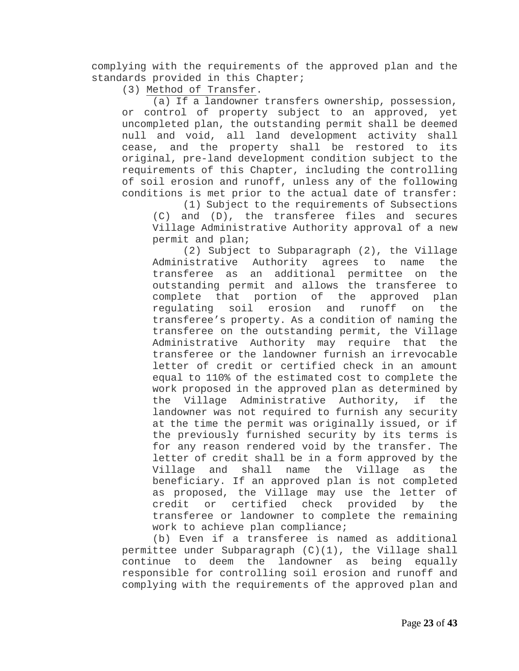complying with the requirements of the approved plan and the standards provided in this Chapter;

(3) Method of Transfer.

(a) If a landowner transfers ownership, possession, or control of property subject to an approved, yet uncompleted plan, the outstanding permit shall be deemed null and void, all land development activity shall cease, and the property shall be restored to its original, pre-land development condition subject to the requirements of this Chapter, including the controlling of soil erosion and runoff, unless any of the following conditions is met prior to the actual date of transfer:

(1) Subject to the requirements of Subsections (C) and (D), the transferee files and secures Village Administrative Authority approval of a new permit and plan;

(2) Subject to Subparagraph (2), the Village Administrative Authority agrees to name the<br>transferee as an additional permittee on the transferee as an additional permittee on outstanding permit and allows the transferee to complete that portion of the approved plan<br>requlating soil erosion and runoff on the erosion and runoff on transferee's property. As a condition of naming the transferee on the outstanding permit, the Village Administrative Authority may require that the transferee or the landowner furnish an irrevocable letter of credit or certified check in an amount equal to 110% of the estimated cost to complete the work proposed in the approved plan as determined by the Village Administrative Authority, if the landowner was not required to furnish any security at the time the permit was originally issued, or if the previously furnished security by its terms is for any reason rendered void by the transfer. The letter of credit shall be in a form approved by the<br>Village and shall name the Village as the the Village beneficiary. If an approved plan is not completed as proposed, the Village may use the letter of credit or certified check provided by the transferee or landowner to complete the remaining work to achieve plan compliance;

(b) Even if a transferee is named as additional permittee under Subparagraph (C)(1), the Village shall continue to deem the landowner as being equally responsible for controlling soil erosion and runoff and complying with the requirements of the approved plan and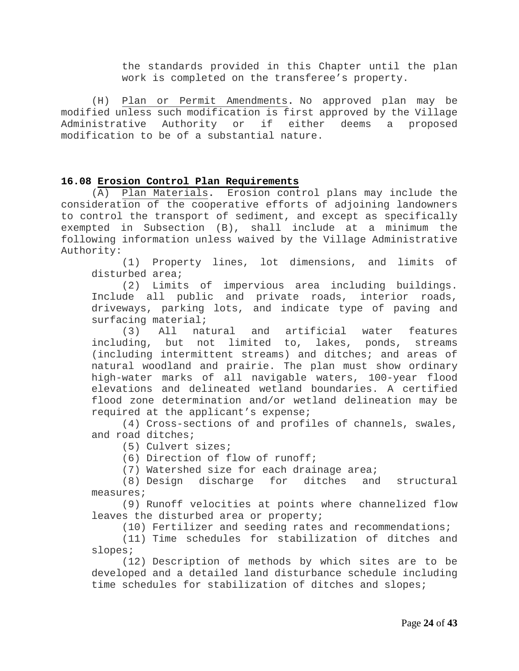the standards provided in this Chapter until the plan work is completed on the transferee's property.

(H) Plan or Permit Amendments**.** No approved plan may be modified unless such modification is first approved by the Village Administrative Authority or if either deems a proposed modification to be of a substantial nature.

#### <span id="page-23-0"></span>**16.08 Erosion Control Plan Requirements**

(A) Plan Materials**.** Erosion control plans may include the consideration of the cooperative efforts of adjoining landowners to control the transport of sediment, and except as specifically exempted in Subsection (B), shall include at a minimum the following information unless waived by the Village Administrative Authority:

(1) Property lines, lot dimensions, and limits of disturbed area;

(2) Limits of impervious area including buildings. Include all public and private roads, interior roads, driveways, parking lots, and indicate type of paving and surfacing material;<br>(3) All natural

(3) All natural and artificial water features including, but not limited to, lakes, ponds, streams (including intermittent streams) and ditches; and areas of natural woodland and prairie. The plan must show ordinary high-water marks of all navigable waters, 100-year flood elevations and delineated wetland boundaries. A certified flood zone determination and/or wetland delineation may be required at the applicant's expense;

(4) Cross-sections of and profiles of channels, swales, and road ditches;

(5) Culvert sizes;

(6) Direction of flow of runoff;

(7) Watershed size for each drainage area;<br>(8) Design discharge for ditches and structural  $(8)$  Design discharge for ditches measures;

(9) Runoff velocities at points where channelized flow leaves the disturbed area or property;

(10) Fertilizer and seeding rates and recommendations;

(11) Time schedules for stabilization of ditches and slopes;

(12) Description of methods by which sites are to be developed and a detailed land disturbance schedule including time schedules for stabilization of ditches and slopes;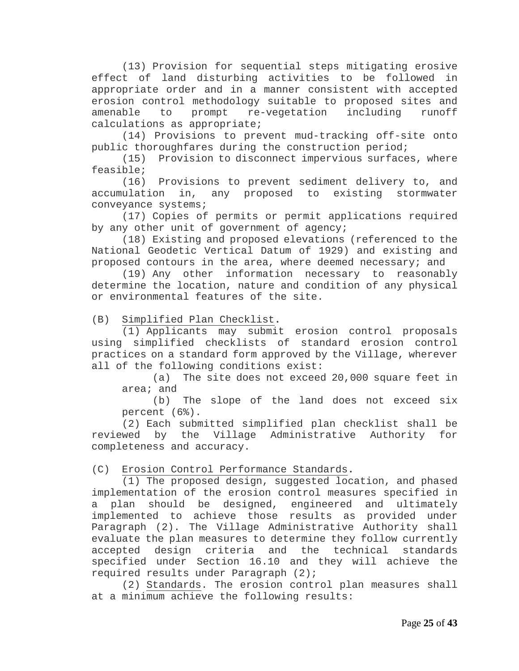(13) Provision for sequential steps mitigating erosive effect of land disturbing activities to be followed in appropriate order and in a manner consistent with accepted erosion control methodology suitable to proposed sites and<br>amenable to prompt re-vegetation including runoff re-vegetation including calculations as appropriate;

(14) Provisions to prevent mud-tracking off-site onto public thoroughfares during the construction period;

(15) Provision to disconnect impervious surfaces, where feasible;

(16) Provisions to prevent sediment delivery to, and<br>accumulation in, any proposed to existing stormwater in, any proposed to existing stormwater conveyance systems;

(17) Copies of permits or permit applications required by any other unit of government of agency;

(18) Existing and proposed elevations (referenced to the National Geodetic Vertical Datum of 1929) and existing and proposed contours in the area, where deemed necessary; and

(19) Any other information necessary to reasonably determine the location, nature and condition of any physical or environmental features of the site.

(B) Simplified Plan Checklist**.**

(1) Applicants may submit erosion control proposals using simplified checklists of standard erosion control practices on a standard form approved by the Village, wherever all of the following conditions exist:<br>(a) The site does not exceed

The site does not exceed 20,000 square feet in  $area: and$ <br>(b)

The slope of the land does not exceed six percent (6%).

(2) Each submitted simplified plan checklist shall be reviewed by the Village Administrative Authority for completeness and accuracy.

(C) Erosion Control Performance Standards**.**

(1) The proposed design, suggested location, and phased implementation of the erosion control measures specified in a plan should be designed, engineered and ultimately implemented to achieve those results as provided under Paragraph (2). The Village Administrative Authority shall evaluate the plan measures to determine they follow currently accepted design criteria and the technical standards specified under Section 16.10 and they will achieve the required results under Paragraph (2);

(2) Standards. The erosion control plan measures shall at a minimum achieve the following results: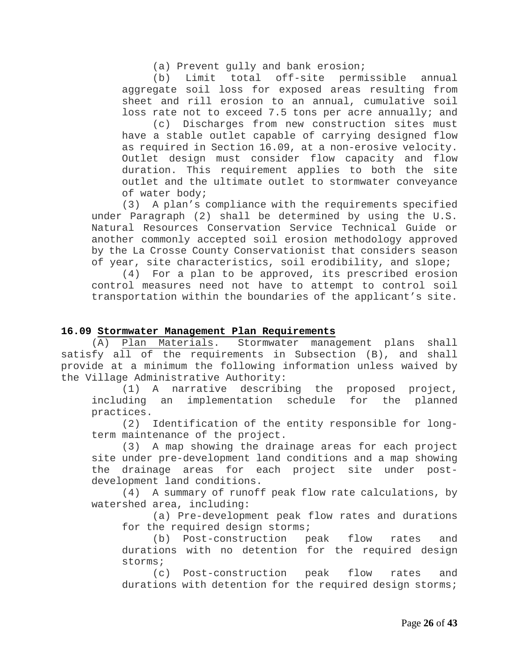(a) Prevent gully and bank erosion;

(b) Limit total off-site permissible annual aggregate soil loss for exposed areas resulting from sheet and rill erosion to an annual, cumulative soil loss rate not to exceed 7.5 tons per acre annually; and

(c) Discharges from new construction sites must have a stable outlet capable of carrying designed flow as required in Section 16.09, at a non-erosive velocity. Outlet design must consider flow capacity and flow duration. This requirement applies to both the site outlet and the ultimate outlet to stormwater conveyance of water body;

(3) A plan's compliance with the requirements specified under Paragraph (2) shall be determined by using the U.S. Natural Resources Conservation Service Technical Guide or another commonly accepted soil erosion methodology approved by the La Crosse County Conservationist that considers season of year, site characteristics, soil erodibility, and slope;

(4) For a plan to be approved, its prescribed erosion control measures need not have to attempt to control soil transportation within the boundaries of the applicant's site.

#### <span id="page-25-0"></span>**16.09 Stormwater Management Plan Requirements**

(A) Plan Materials. Stormwater management plans shall satisfy all of the requirements in Subsection (B), and shall provide at a minimum the following information unless waived by the Village Administrative Authority:

(1) A narrative describing the proposed project, including an implementation schedule for the planned practices.

(2) Identification of the entity responsible for longterm maintenance of the project.

(3) A map showing the drainage areas for each project site under pre-development land conditions and a map showing the drainage areas for each project site under postdevelopment land conditions.

(4) A summary of runoff peak flow rate calculations, by watershed area, including:

(a) Pre-development peak flow rates and durations for the required design storms;

(b) Post-construction peak flow rates and durations with no detention for the required design storms;<br>(c)

Post-construction peak flow rates and durations with detention for the required design storms;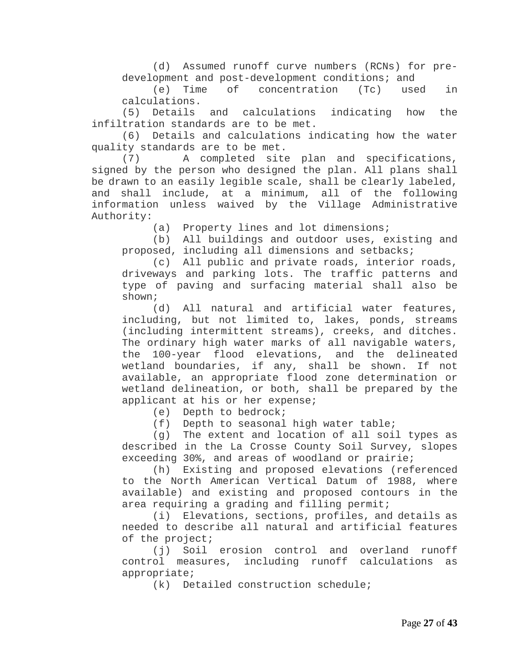(d) Assumed runoff curve numbers (RCNs) for predevelopment and post-development conditions; and<br>(e) Time of concentration (Tc) used

concentration (Tc) used in calculations.

(5) Details and calculations indicating how the infiltration standards are to be met.

(6) Details and calculations indicating how the water quality standards are to be met.

(7) A completed site plan and specifications, signed by the person who designed the plan. All plans shall be drawn to an easily legible scale, shall be clearly labeled, and shall include, at a minimum, all of the following information unless waived by the Village Administrative Authority:

(a) Property lines and lot dimensions;

(b) All buildings and outdoor uses, existing and proposed, including all dimensions and setbacks;

(c) All public and private roads, interior roads, driveways and parking lots. The traffic patterns and type of paving and surfacing material shall also be shown;

(d) All natural and artificial water features, including, but not limited to, lakes, ponds, streams (including intermittent streams), creeks, and ditches. The ordinary high water marks of all navigable waters, the 100-year flood elevations, and the delineated wetland boundaries, if any, shall be shown. If not available, an appropriate flood zone determination or wetland delineation, or both, shall be prepared by the applicant at his or her expense;

(e) Depth to bedrock;

(f) Depth to seasonal high water table;

(g) The extent and location of all soil types as described in the La Crosse County Soil Survey, slopes exceeding 30%, and areas of woodland or prairie;

(h) Existing and proposed elevations (referenced to the North American Vertical Datum of 1988, where available) and existing and proposed contours in the area requiring a grading and filling permit;

(i) Elevations, sections, profiles, and details as needed to describe all natural and artificial features of the project;

(j) Soil erosion control and overland runoff control measures, including runoff calculations as appropriate;

(k) Detailed construction schedule;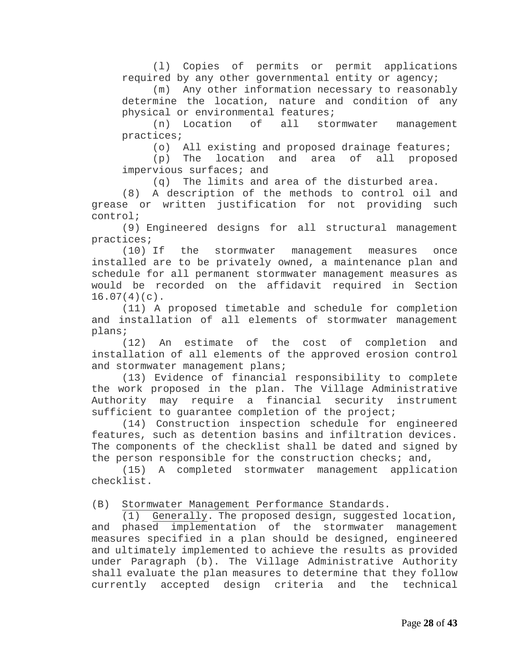(l) Copies of permits or permit applications required by any other governmental entity or agency;

(m) Any other information necessary to reasonably determine the location, nature and condition of any physical or environmental features;<br>(n) Location of all sto

(n) Location of all stormwater management practices;

(o) All existing and proposed drainage features;<br>(p) The location and area of all proposed

 $(p)$  The location and area of impervious surfaces; and

(q) The limits and area of the disturbed area.

(8) A description of the methods to control oil and grease or written justification for not providing such control;

(9) Engineered designs for all structural management practices;

(10) If the stormwater management measures once installed are to be privately owned, a maintenance plan and schedule for all permanent stormwater management measures as would be recorded on the affidavit required in Section  $16.07(4)(c)$ .

(11) A proposed timetable and schedule for completion and installation of all elements of stormwater management plans;

(12) An estimate of the cost of completion and installation of all elements of the approved erosion control and stormwater management plans;

(13) Evidence of financial responsibility to complete the work proposed in the plan. The Village Administrative Authority may require a financial security instrument sufficient to guarantee completion of the project;

(14) Construction inspection schedule for engineered features, such as detention basins and infiltration devices. The components of the checklist shall be dated and signed by the person responsible for the construction checks; and,

(15) A completed stormwater management application checklist.

(B) Stormwater Management Performance Standards.

(1) Generally. The proposed design, suggested location, and phased implementation of the stormwater management measures specified in a plan should be designed, engineered and ultimately implemented to achieve the results as provided under Paragraph (b). The Village Administrative Authority shall evaluate the plan measures to determine that they follow<br>currently accepted design criteria and the technical currently accepted design criteria and the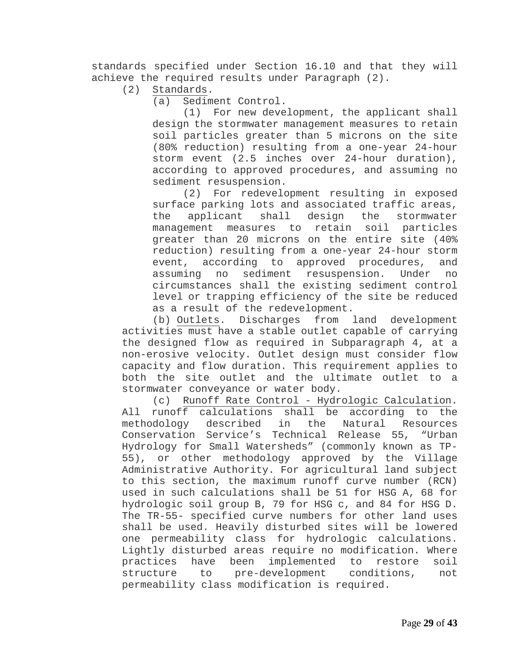standards specified under Section 16.10 and that they will achieve the required results under Paragraph (2).<br>(2) Standards.

Standards.

(a) Sediment Control.<br>(1) For new deve

For new development, the applicant shall design the stormwater management measures to retain soil particles greater than 5 microns on the site (80% reduction) resulting from a one-year 24-hour storm event (2.5 inches over 24-hour duration), according to approved procedures, and assuming no sediment resuspension.

(2) For redevelopment resulting in exposed surface parking lots and associated traffic areas,<br>the applicant shall design the stormwater the applicant shall design the stormwater management measures to retain soil particles greater than 20 microns on the entire site (40% reduction) resulting from a one-year 24-hour storm event, according to approved procedures, and<br>assuming no sediment resuspension. Under no sediment resuspension. circumstances shall the existing sediment control level or trapping efficiency of the site be reduced as a result of the redevelopment.

(b) Outlets. Discharges from land development activities must have a stable outlet capable of carrying the designed flow as required in Subparagraph 4, at a non-erosive velocity. Outlet design must consider flow capacity and flow duration. This requirement applies to both the site outlet and the ultimate outlet to a stormwater conveyance or water body.

(c) Runoff Rate Control - Hydrologic Calculation. All runoff calculations shall be according to the<br>methodology described in the Natural Resources the Natural Resources Conservation Service's Technical Release 55, "Urban Hydrology for Small Watersheds" (commonly known as TP-55), or other methodology approved by the Village Administrative Authority. For agricultural land subject to this section, the maximum runoff curve number (RCN) used in such calculations shall be 51 for HSG A, 68 for hydrologic soil group B, 79 for HSG c, and 84 for HSG D. The TR-55- specified curve numbers for other land uses shall be used. Heavily disturbed sites will be lowered one permeability class for hydrologic calculations. Lightly disturbed areas require no modification. Where practices have been implemented to restore soil<br>structure to pre-development conditions, not pre-development conditions, not permeability class modification is required.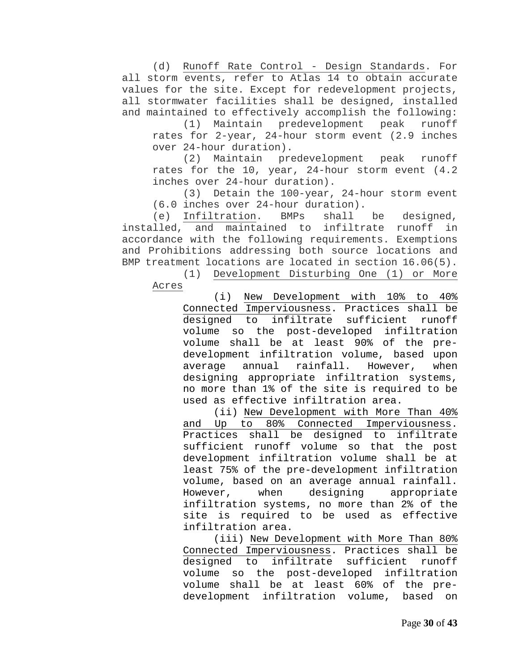(d) Runoff Rate Control - Design Standards. For all storm events, refer to Atlas 14 to obtain accurate values for the site. Except for redevelopment projects, all stormwater facilities shall be designed, installed and maintained to effectively accomplish the following:

(1) Maintain predevelopment peak runoff rates for 2-year, 24-hour storm event (2.9 inches over 24-hour duration).

(2) Maintain predevelopment peak runoff rates for the 10, year, 24-hour storm event (4.2 inches over 24-hour duration).

(3) Detain the 100-year, 24-hour storm event (6.0 inches over 24-hour duration).

(e) Infiltration. BMPs shall be designed, installed, and maintained to infiltrate runoff in accordance with the following requirements. Exemptions and Prohibitions addressing both source locations and BMP treatment locations are located in section 16.06(5).<br>(1) Development Disturbing One (1) or More

Development Disturbing One (1) or More Acres

(i) New Development with 10% to 40% Connected Imperviousness. Practices shall be<br>designed to infiltrate sufficient runoff designed to infiltrate sufficient runoff volume so the post-developed infiltration volume shall be at least 90% of the predevelopment infiltration volume, based upon<br>average annual rainfall. However, when average annual rainfall. However, when designing appropriate infiltration systems, no more than 1% of the site is required to be used as effective infiltration area.

(ii) New Development with More Than 40% and Up to 80% Connected Imperviousness. Practices shall be designed to infiltrate sufficient runoff volume so that the post development infiltration volume shall be at least 75% of the pre-development infiltration volume, based on an average annual rainfall. However, when designing appropriate infiltration systems, no more than 2% of the site is required to be used as effective infiltration area.

(iii) New Development with More Than 80% Connected Imperviousness. Practices shall be<br>designed to infiltrate sufficient runoff designed to infiltrate volume so the post-developed infiltration volume shall be at least 60% of the predevelopment infiltration volume, based on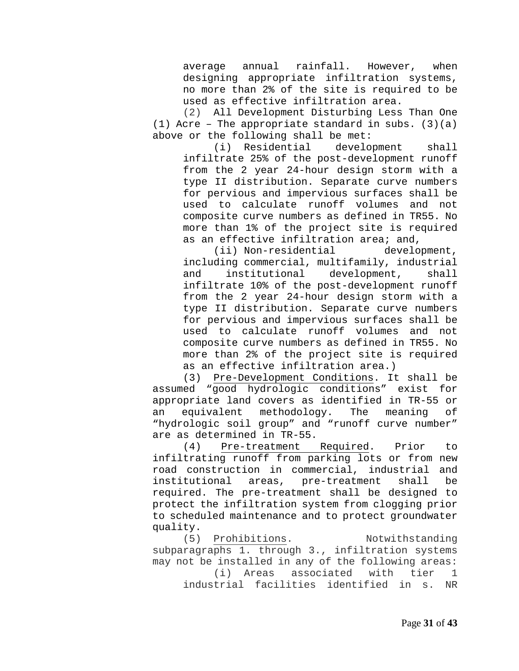average annual rainfall. However, when designing appropriate infiltration systems, no more than 2% of the site is required to be used as effective infiltration area.

(2) All Development Disturbing Less Than One (1) Acre – The appropriate standard in subs.  $(3)(a)$ above or the following shall be met:<br>(i) Residential development

(i) Residential development shall infiltrate 25% of the post-development runoff from the 2 year 24-hour design storm with a type II distribution. Separate curve numbers for pervious and impervious surfaces shall be used to calculate runoff volumes and not composite curve numbers as defined in TR55. No more than 1% of the project site is required as an effective infiltration area; and,

(ii) Non-residential development, including commercial, multifamily, industrial institutional infiltrate 10% of the post-development runoff from the 2 year 24-hour design storm with a type II distribution. Separate curve numbers for pervious and impervious surfaces shall be used to calculate runoff volumes and not composite curve numbers as defined in TR55. No more than 2% of the project site is required as an effective infiltration area.)

(3) Pre-Development Conditions. It shall be assumed "good hydrologic conditions" exist for appropriate land covers as identified in TR-55 or<br>an equivalent methodology. The meaning of an equivalent methodology. The meaning of "hydrologic soil group" and "runoff curve number" are as determined in TR-55.<br>(4) Pre-treatment

Pre-treatment Required. Prior to infiltrating runoff from parking lots or from new road construction in commercial, industrial and institutional areas, pre-treatment shall be required. The pre-treatment shall be designed to protect the infiltration system from clogging prior to scheduled maintenance and to protect groundwater quality.

(5) Prohibitions. Notwithstanding subparagraphs 1. through 3., infiltration systems may not be installed in any of the following areas: associated with tier 1<br>ities identified in s. NR industrial facilities identified in s.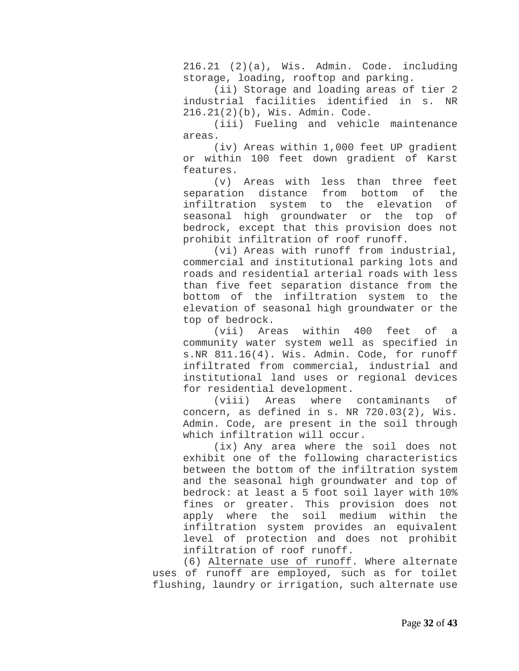216.21 (2)(a), Wis. Admin. Code. including storage, loading, rooftop and parking.

(ii) Storage and loading areas of tier 2 industrial facilities identified in s. NR 216.21(2)(b), Wis. Admin. Code.

(iii) Fueling and vehicle maintenance areas.

(iv) Areas within 1,000 feet UP gradient or within 100 feet down gradient of Karst features.

(v) Areas with less than three feet<br>ation distance from bottom of the separation distance from bottom of the<br>infiltration system to the elevation of infiltration system to the elevation seasonal high groundwater or the top of bedrock, except that this provision does not prohibit infiltration of roof runoff.

(vi) Areas with runoff from industrial, commercial and institutional parking lots and roads and residential arterial roads with less than five feet separation distance from the bottom of the infiltration system to the elevation of seasonal high groundwater or the top of bedrock.

(vii) Areas within 400 feet of a community water system well as specified in s.NR 811.16(4). Wis. Admin. Code, for runoff infiltrated from commercial, industrial and institutional land uses or regional devices for residential development.

(viii) Areas where contaminants of concern, as defined in s. NR 720.03(2), Wis. Admin. Code, are present in the soil through which infiltration will occur.

(ix) Any area where the soil does not exhibit one of the following characteristics between the bottom of the infiltration system and the seasonal high groundwater and top of bedrock: at least a 5 foot soil layer with 10% fines or greater. This provision does not apply where the soil medium within the infiltration system provides an equivalent level of protection and does not prohibit infiltration of roof runoff.

(6) Alternate use of runoff. Where alternate uses of runoff are employed, such as for toilet flushing, laundry or irrigation, such alternate use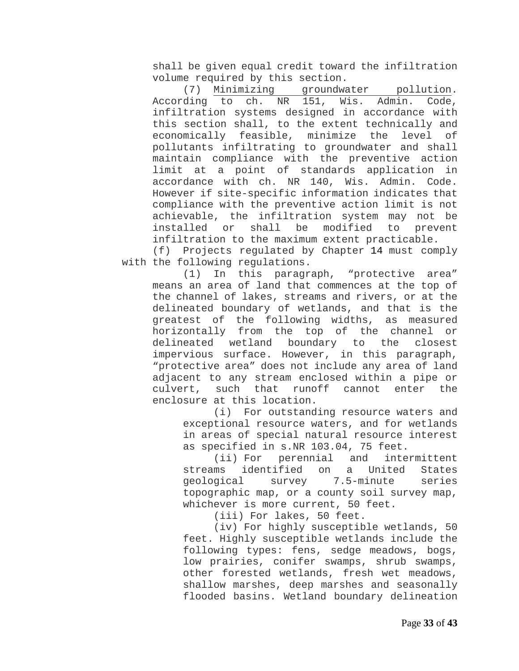shall be given equal credit toward the infiltration volume required by this section.<br>(7) Minimizing groundwa

groundwater pollution. According to ch. NR 151, Wis. Admin. Code, infiltration systems designed in accordance with this section shall, to the extent technically and<br>economically feasible, minimize the level of economically feasible, minimize the level of pollutants infiltrating to groundwater and shall maintain compliance with the preventive action limit at a point of standards application in accordance with ch. NR 140, Wis. Admin. Code. However if site-specific information indicates that compliance with the preventive action limit is not achievable, the infiltration system may not be<br>installed or shall be modified to prevent installed or shall be modified to prevent infiltration to the maximum extent practicable.

(f) Projects regulated by Chapter 14 must comply with the following regulations.<br>(1) In this paragr

In this paragraph, "protective area" means an area of land that commences at the top of the channel of lakes, streams and rivers, or at the delineated boundary of wetlands, and that is the greatest of the following widths, as measured horizontally from the top of the channel or delineated wetland boundary to the closest impervious surface. However, in this paragraph, "protective area" does not include any area of land adjacent to any stream enclosed within a pipe or<br>culvert, such that runoff cannot enter the such that runoff cannot enter the enclosure at this location.

(i) For outstanding resource waters and exceptional resource waters, and for wetlands in areas of special natural resource interest as specified in s.NR 103.04, 75 feet.<br>(ii) For perennial and intermittent

(ii) For perennial and intermittent<br>streams identified on a United States streams identified on a United States<br>geological survey 7.5-minute series survey 7.5-minute topographic map, or a county soil survey map, whichever is more current, 50 feet.

(iii) For lakes, 50 feet.

(iv) For highly susceptible wetlands, 50 feet. Highly susceptible wetlands include the following types: fens, sedge meadows, bogs, low prairies, conifer swamps, shrub swamps, other forested wetlands, fresh wet meadows, shallow marshes, deep marshes and seasonally flooded basins. Wetland boundary delineation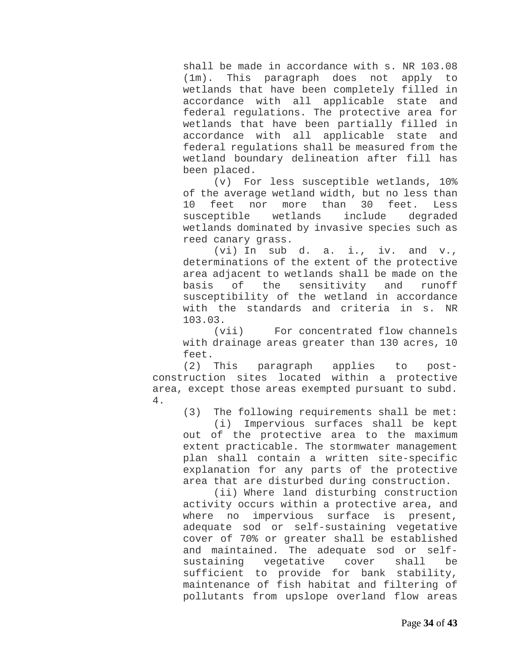shall be made in accordance with s. NR 103.08 (1m). This paragraph does not apply to wetlands that have been completely filled in accordance with all applicable state and federal regulations. The protective area for wetlands that have been partially filled in accordance with all applicable state and federal regulations shall be measured from the wetland boundary delineation after fill has been placed.

(v) For less susceptible wetlands, 10% of the average wetland width, but no less than<br>10 feet nor more than 30 feet. Less feet nor more than 30 f<br>eptible wetlands include susceptible wetlands include degraded wetlands dominated by invasive species such as reed canary grass.

(vi) In sub d. a. i., iv. and v., determinations of the extent of the protective area adjacent to wetlands shall be made on the<br>basis of the sensitivity and runoff the sensitivity and runoff susceptibility of the wetland in accordance with the standards and criteria in s. NR 103.03.

(vii) For concentrated flow channels with drainage areas greater than 130 acres, 10 feet.<br>(2) This

paragraph applies to postconstruction sites located within a protective area, except those areas exempted pursuant to subd. 4.

(3) The following requirements shall be met:

(i) Impervious surfaces shall be kept out of the protective area to the maximum extent practicable. The stormwater management plan shall contain a written site-specific explanation for any parts of the protective area that are disturbed during construction.

(ii) Where land disturbing construction activity occurs within a protective area, and where no impervious surface is present, adequate sod or self-sustaining vegetative cover of 70% or greater shall be established and maintained. The adequate sod or selfsustaining vegetative cover shall be sufficient to provide for bank stability, maintenance of fish habitat and filtering of pollutants from upslope overland flow areas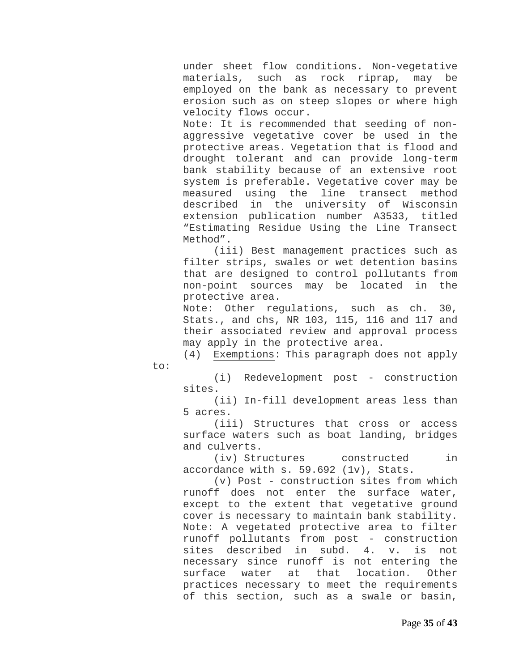under sheet flow conditions. Non-vegetative materials, such as rock riprap, may be employed on the bank as necessary to prevent erosion such as on steep slopes or where high velocity flows occur.

Note: It is recommended that seeding of nonaggressive vegetative cover be used in the protective areas. Vegetation that is flood and drought tolerant and can provide long-term bank stability because of an extensive root system is preferable. Vegetative cover may be measured using the line transect method described in the university of Wisconsin extension publication number A3533, titled "Estimating Residue Using the Line Transect Method".

(iii) Best management practices such as filter strips, swales or wet detention basins that are designed to control pollutants from non-point sources may be located in the protective area.

Note: Other regulations, such as ch. 30, Stats., and chs, NR 103, 115, 116 and 117 and their associated review and approval process may apply in the protective area.

(4) Exemptions: This paragraph does not apply

to:

(i) Redevelopment post - construction sites.

(ii) In-fill development areas less than 5 acres.

(iii) Structures that cross or access surface waters such as boat landing, bridges and culverts.

(iv) Structures constructed in accordance with s. 59.692 (1v), Stats.

(v) Post - construction sites from which runoff does not enter the surface water, except to the extent that vegetative ground cover is necessary to maintain bank stability. Note: A vegetated protective area to filter runoff pollutants from post - construction<br>sites described in subd. 4. v. is not sites described in subd. 4. v. is not necessary since runoff is not entering the<br>surface water at that location. Other surface water at practices necessary to meet the requirements of this section, such as a swale or basin,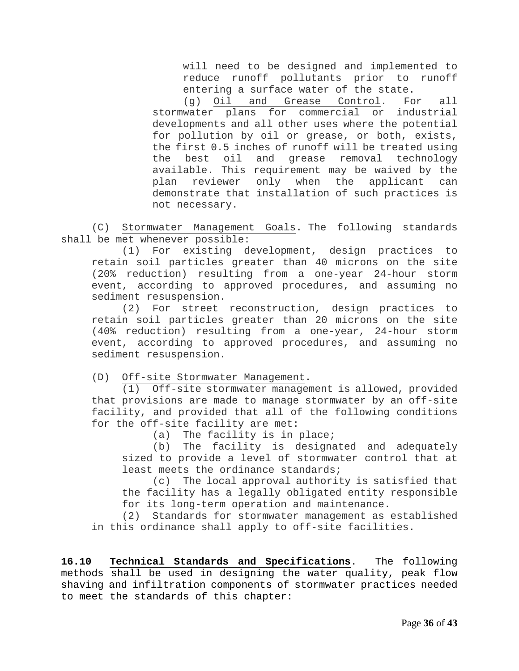will need to be designed and implemented to reduce runoff pollutants prior to runoff entering a surface water of the state.

(g) Oil and Grease Control. For all stormwater plans for commercial or industrial developments and all other uses where the potential for pollution by oil or grease, or both, exists, the first 0.5 inches of runoff will be treated using the best oil and grease removal technology available. This requirement may be waived by the plan reviewer only when the applicant can demonstrate that installation of such practices is not necessary.

(C) Stormwater Management Goals**.** The following standards shall be met whenever possible:

(1) For existing development, design practices to retain soil particles greater than 40 microns on the site (20% reduction) resulting from a one-year 24-hour storm event, according to approved procedures, and assuming no sediment resuspension.

(2) For street reconstruction, design practices to retain soil particles greater than 20 microns on the site (40% reduction) resulting from a one-year, 24-hour storm event, according to approved procedures, and assuming no sediment resuspension.

(D) Off-site Stormwater Management**.**

(1) Off-site stormwater management is allowed, provided that provisions are made to manage stormwater by an off-site facility, and provided that all of the following conditions for the off-site facility are met:

(a) The facility is in place;

(b) The facility is designated and adequately sized to provide a level of stormwater control that at least meets the ordinance standards;

(c) The local approval authority is satisfied that the facility has a legally obligated entity responsible for its long-term operation and maintenance.

(2) Standards for stormwater management as established in this ordinance shall apply to off-site facilities.

<span id="page-35-0"></span>**16.10 Technical Standards and Specifications**. The following methods shall be used in designing the water quality, peak flow shaving and infiltration components of stormwater practices needed to meet the standards of this chapter: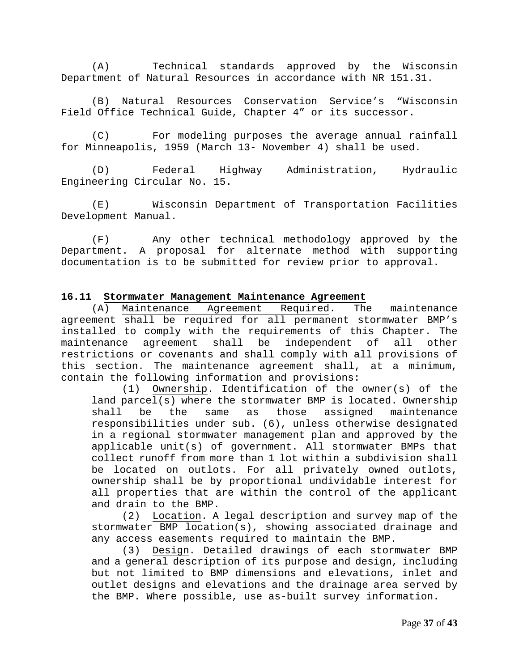(A) Technical standards approved by the Wisconsin Department of Natural Resources in accordance with NR 151.31.

(B) Natural Resources Conservation Service's "Wisconsin Field Office Technical Guide, Chapter 4" or its successor.

(C) For modeling purposes the average annual rainfall for Minneapolis, 1959 (March 13- November 4) shall be used.

(D) Federal Highway Administration, Hydraulic Engineering Circular No. 15.

(E) Wisconsin Department of Transportation Facilities Development Manual.

(F) Any other technical methodology approved by the Department. A proposal for alternate method with supporting documentation is to be submitted for review prior to approval.

# <span id="page-36-0"></span>**16.11 Stormwater Management Maintenance Agreement**

(A) Maintenance Agreement Required. The maintenance agreement shall be required for all permanent stormwater BMP's installed to comply with the requirements of this Chapter. The maintenance agreement shall be independent of all other restrictions or covenants and shall comply with all provisions of this section. The maintenance agreement shall, at a minimum, contain the following information and provisions:

(1) Ownership. Identification of the owner(s) of the land parcel(s) where the stormwater BMP is located. Ownership<br>shall be the same as those assigned maintenance be the same as those assigned maintenance responsibilities under sub. (6), unless otherwise designated in a regional stormwater management plan and approved by the applicable unit(s) of government. All stormwater BMPs that collect runoff from more than 1 lot within a subdivision shall be located on outlots. For all privately owned outlots, ownership shall be by proportional undividable interest for all properties that are within the control of the applicant and drain to the BMP.

(2) Location. A legal description and survey map of the stormwater BMP location(s), showing associated drainage and any access easements required to maintain the BMP.<br>(3) Design. Detailed drawings of each storm

Design. Detailed drawings of each stormwater BMP and a general description of its purpose and design, including but not limited to BMP dimensions and elevations, inlet and outlet designs and elevations and the drainage area served by the BMP. Where possible, use as-built survey information.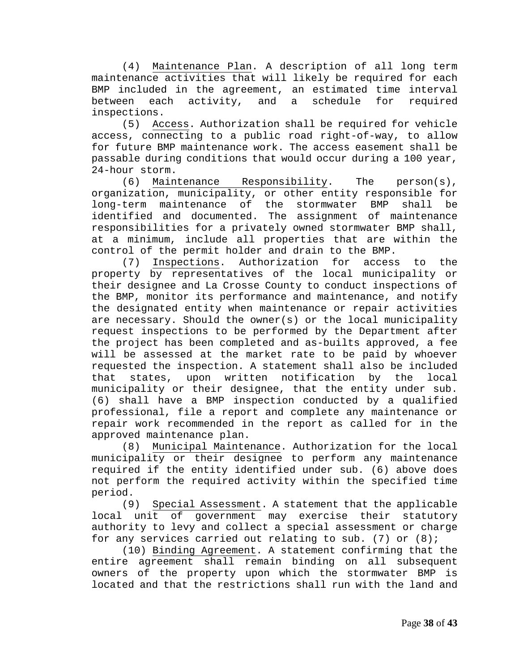(4) Maintenance Plan. A description of all long term maintenance activities that will likely be required for each BMP included in the agreement, an estimated time interval<br>between each activity, and a schedule for required between each activity, and a schedule for required inspections.

(5) Access. Authorization shall be required for vehicle access, connecting to a public road right-of-way, to allow for future BMP maintenance work. The access easement shall be passable during conditions that would occur during a 100 year,

24-hour storm.<br>(6) Maintenance  $Responsibility.$  The person(s), organization, municipality, or other entity responsible for<br>long-term maintenance of the stormwater BMP shall be long-term maintenance of the stormwater BMP shall be identified and documented. The assignment of maintenance responsibilities for a privately owned stormwater BMP shall, at a minimum, include all properties that are within the control of the permit holder and drain to the BMP.<br>(7) Inspections. Authorization for access

Authorization for access to the property by representatives of the local municipality or their designee and La Crosse County to conduct inspections of the BMP, monitor its performance and maintenance, and notify the designated entity when maintenance or repair activities are necessary. Should the owner(s) or the local municipality request inspections to be performed by the Department after the project has been completed and as-builts approved, a fee will be assessed at the market rate to be paid by whoever requested the inspection. A statement shall also be included states, upon written notification by the local municipality or their designee, that the entity under sub. (6) shall have a BMP inspection conducted by a qualified professional, file a report and complete any maintenance or repair work recommended in the report as called for in the approved maintenance plan.<br>(8) Municipal Mainte

Municipal Maintenance. Authorization for the local municipality or their designee to perform any maintenance required if the entity identified under sub. (6) above does not perform the required activity within the specified time period.

(9) Special Assessment. A statement that the applicable local unit of government may exercise their statutory authority to levy and collect a special assessment or charge for any services carried out relating to sub. (7) or (8);

(10) Binding Agreement. A statement confirming that the entire agreement shall remain binding on all subsequent owners of the property upon which the stormwater BMP is located and that the restrictions shall run with the land and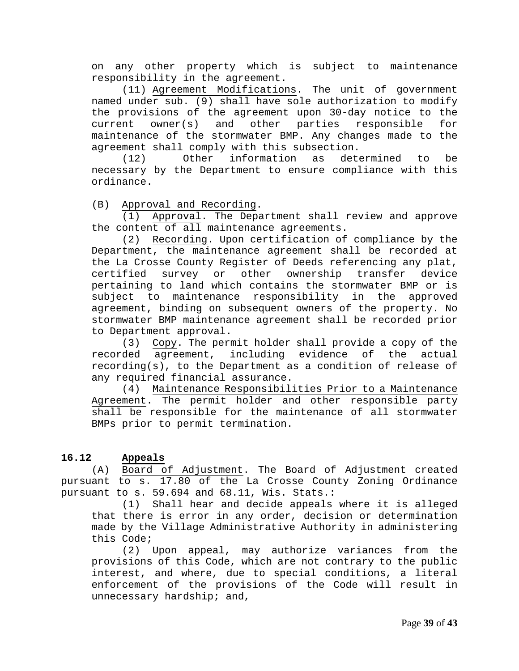on any other property which is subject to maintenance responsibility in the agreement.

(11) Agreement Modifications. The unit of government named under sub. (9) shall have sole authorization to modify the provisions of the agreement upon 30-day notice to the<br>current owner(s) and other parties responsible for current owner(s) and other parties responsible for maintenance of the stormwater BMP. Any changes made to the agreement shall comply with this subsection.<br>(12) Other information as determined

information as determined to be necessary by the Department to ensure compliance with this ordinance.

(B) Approval and Recording.

(1) Approval. The Department shall review and approve the content of all maintenance agreements.

(2) Recording. Upon certification of compliance by the Department, the maintenance agreement shall be recorded at the La Crosse County Register of Deeds referencing any plat,<br>certified survey or other ownership transfer device certified survey or other ownership transfer pertaining to land which contains the stormwater BMP or is subject to maintenance responsibility in the approved agreement, binding on subsequent owners of the property. No stormwater BMP maintenance agreement shall be recorded prior to Department approval.

(3) Copy. The permit holder shall provide a copy of the recorded agreement, including evidence of the actual recording(s), to the Department as a condition of release of any required financial assurance.

(4) Maintenance Responsibilities Prior to a Maintenance Agreement. The permit holder and other responsible party shall be responsible for the maintenance of all stormwater BMPs prior to permit termination.

#### **16.12 Appeals**

(A) Board of Adjustment. The Board of Adjustment created pursuant to s. 17.80 of the La Crosse County Zoning Ordinance pursuant to s. 59.694 and 68.11, Wis. Stats.:

<span id="page-38-0"></span>(1) Shall hear and decide appeals where it is alleged that there is error in any order, decision or determination made by the Village Administrative Authority in administering this Code;

(2) Upon appeal, may authorize variances from the provisions of this Code, which are not contrary to the public interest, and where, due to special conditions, a literal enforcement of the provisions of the Code will result in unnecessary hardship; and,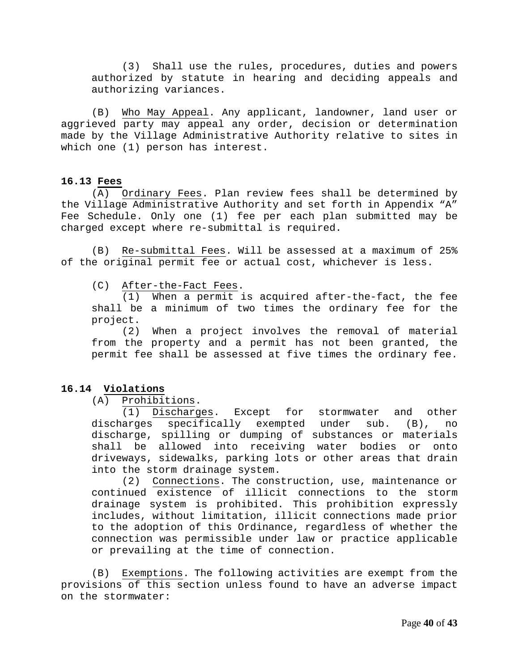(3) Shall use the rules, procedures, duties and powers authorized by statute in hearing and deciding appeals and authorizing variances.

(B) Who May Appeal. Any applicant, landowner, land user or aggrieved party may appeal any order, decision or determination made by the Village Administrative Authority relative to sites in which one (1) person has interest.

#### <span id="page-39-0"></span>**16.13 Fees**

(A) Ordinary Fees. Plan review fees shall be determined by the Village Administrative Authority and set forth in Appendix "A" Fee Schedule. Only one (1) fee per each plan submitted may be charged except where re-submittal is required.

(B) Re-submittal Fees. Will be assessed at a maximum of 25% of the original permit fee or actual cost, whichever is less.

(C) After-the-Fact Fees.

(1) When a permit is acquired after-the-fact, the fee shall be a minimum of two times the ordinary fee for the project.

(2) When a project involves the removal of material from the property and a permit has not been granted, the permit fee shall be assessed at five times the ordinary fee.

#### **16.14 Violations**

<span id="page-39-1"></span>(A) Prohibitions.

(1) Discharges. Except for stormwater and other discharges specifically exempted under sub. (B), no discharge, spilling or dumping of substances or materials shall be allowed into receiving water bodies or onto driveways, sidewalks, parking lots or other areas that drain into the storm drainage system.

(2) Connections. The construction, use, maintenance or continued existence of illicit connections to the storm drainage system is prohibited. This prohibition expressly includes, without limitation, illicit connections made prior to the adoption of this Ordinance, regardless of whether the connection was permissible under law or practice applicable or prevailing at the time of connection.

(B) Exemptions. The following activities are exempt from the provisions of this section unless found to have an adverse impact on the stormwater: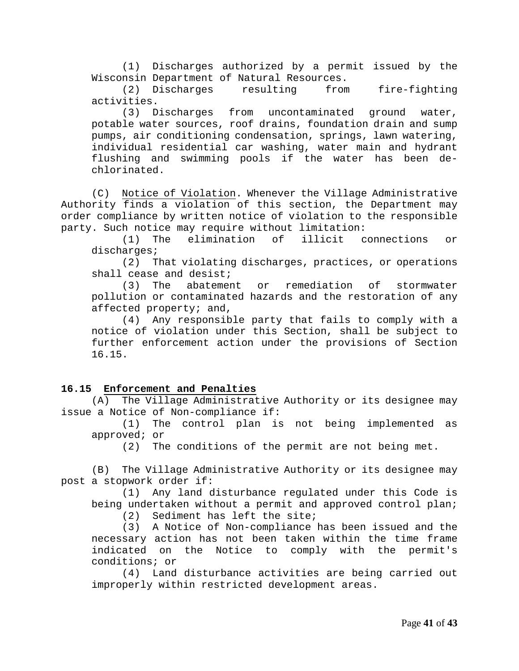(1) Discharges authorized by a permit issued by the Wisconsin Department of Natural Resources.<br>(2) Discharges resulting from

(2) Discharges resulting from fire-fighting activities.

(3) Discharges from uncontaminated ground water, potable water sources, roof drains, foundation drain and sump pumps, air conditioning condensation, springs, lawn watering, individual residential car washing, water main and hydrant flushing and swimming pools if the water has been dechlorinated.

(C) Notice of Violation. Whenever the Village Administrative Authority finds a violation of this section, the Department may order compliance by written notice of violation to the responsible party. Such notice may require without limitation:

(1) The elimination of illicit connections or discharges;

(2) That violating discharges, practices, or operations shall cease and desist;<br>(3) The abatement

or remediation of stormwater pollution or contaminated hazards and the restoration of any affected property; and,

(4) Any responsible party that fails to comply with a notice of violation under this Section, shall be subject to further enforcement action under the provisions of Section 16.15.

#### **16.15 Enforcement and Penalties**

(A) The Village Administrative Authority or its designee may issue a Notice of Non-compliance if:

<span id="page-40-0"></span>(1) The control plan is not being implemented as approved; or<br>(2) Th

The conditions of the permit are not being met.

(B) The Village Administrative Authority or its designee may post a stopwork order if:

(1) Any land disturbance regulated under this Code is being undertaken without a permit and approved control plan;

(2) Sediment has left the site;

(3) A Notice of Non-compliance has been issued and the necessary action has not been taken within the time frame indicated on the Notice to comply with the permit's conditions; or<br>(4) Land

Land disturbance activities are being carried out improperly within restricted development areas.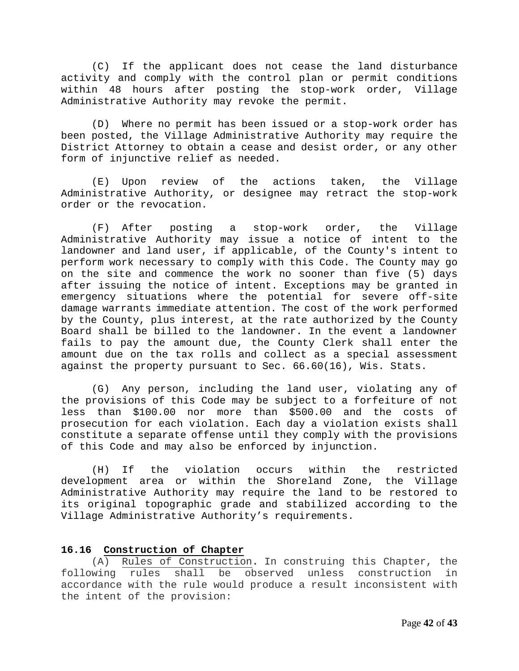(C) If the applicant does not cease the land disturbance activity and comply with the control plan or permit conditions within 48 hours after posting the stop-work order, Village Administrative Authority may revoke the permit.

(D) Where no permit has been issued or a stop-work order has been posted, the Village Administrative Authority may require the District Attorney to obtain a cease and desist order, or any other form of injunctive relief as needed.

(E) Upon review of the actions taken, the Village Administrative Authority, or designee may retract the stop-work order or the revocation.

(F) After posting a stop-work order, the Village Administrative Authority may issue a notice of intent to the landowner and land user, if applicable, of the County's intent to perform work necessary to comply with this Code. The County may go on the site and commence the work no sooner than five (5) days after issuing the notice of intent. Exceptions may be granted in emergency situations where the potential for severe off-site damage warrants immediate attention. The cost of the work performed by the County, plus interest, at the rate authorized by the County Board shall be billed to the landowner. In the event a landowner fails to pay the amount due, the County Clerk shall enter the amount due on the tax rolls and collect as a special assessment against the property pursuant to Sec. 66.60(16), Wis. Stats.

(G) Any person, including the land user, violating any of the provisions of this Code may be subject to a forfeiture of not less than \$100.00 nor more than \$500.00 and the costs of prosecution for each violation. Each day a violation exists shall constitute a separate offense until they comply with the provisions of this Code and may also be enforced by injunction.

(H) If the violation occurs within the restricted development area or within the Shoreland Zone, the Village Administrative Authority may require the land to be restored to its original topographic grade and stabilized according to the Village Administrative Authority's requirements.

#### <span id="page-41-0"></span>**16.16 Construction of Chapter**

(A) Rules of Construction**.** In construing this Chapter, the following rules shall be observed unless construction accordance with the rule would produce a result inconsistent with the intent of the provision: